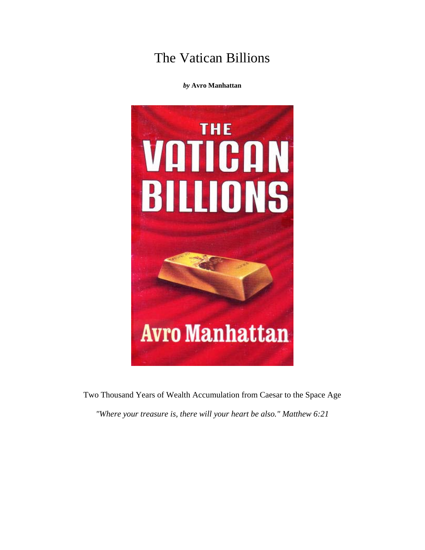# The Vatican Billions

*by* **Avro Manhattan** 



Two Thousand Years of Wealth Accumulation from Caesar to the Space Age *"Where your treasure is, there will your heart be also." Matthew 6:21*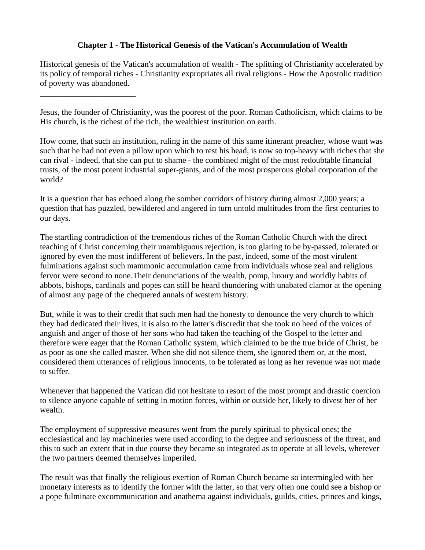# **Chapter 1 - The Historical Genesis of the Vatican's Accumulation of Wealth**

Historical genesis of the Vatican's accumulation of wealth - The splitting of Christianity accelerated by its policy of temporal riches - Christianity expropriates all rival religions - How the Apostolic tradition of poverty was abandoned.

\_\_\_\_\_\_\_\_\_\_\_\_\_\_\_\_\_\_\_\_\_\_\_

Jesus, the founder of Christianity, was the poorest of the poor. Roman Catholicism, which claims to be His church, is the richest of the rich, the wealthiest institution on earth.

How come, that such an institution, ruling in the name of this same itinerant preacher, whose want was such that he had not even a pillow upon which to rest his head, is now so top-heavy with riches that she can rival - indeed, that she can put to shame - the combined might of the most redoubtable financial trusts, of the most potent industrial super-giants, and of the most prosperous global corporation of the world?

It is a question that has echoed along the somber corridors of history during almost 2,000 years; a question that has puzzled, bewildered and angered in turn untold multitudes from the first centuries to our days.

The startling contradiction of the tremendous riches of the Roman Catholic Church with the direct teaching of Christ concerning their unambiguous rejection, is too glaring to be by-passed, tolerated or ignored by even the most indifferent of believers. In the past, indeed, some of the most virulent fulminations against such mammonic accumulation came from individuals whose zeal and religious fervor were second to none.Their denunciations of the wealth, pomp, luxury and worldly habits of abbots, bishops, cardinals and popes can still be heard thundering with unabated clamor at the opening of almost any page of the chequered annals of western history.

But, while it was to their credit that such men had the honesty to denounce the very church to which they had dedicated their lives, it is also to the latter's discredit that she took no heed of the voices of anguish and anger of those of her sons who had taken the teaching of the Gospel to the letter and therefore were eager that the Roman Catholic system, which claimed to be the true bride of Christ, be as poor as one she called master. When she did not silence them, she ignored them or, at the most, considered them utterances of religious innocents, to be tolerated as long as her revenue was not made to suffer.

Whenever that happened the Vatican did not hesitate to resort of the most prompt and drastic coercion to silence anyone capable of setting in motion forces, within or outside her, likely to divest her of her wealth.

The employment of suppressive measures went from the purely spiritual to physical ones; the ecclesiastical and lay machineries were used according to the degree and seriousness of the threat, and this to such an extent that in due course they became so integrated as to operate at all levels, wherever the two partners deemed themselves imperiled.

The result was that finally the religious exertion of Roman Church became so intermingled with her monetary interests as to identify the former with the latter, so that very often one could see a bishop or a pope fulminate excommunication and anathema against individuals, guilds, cities, princes and kings,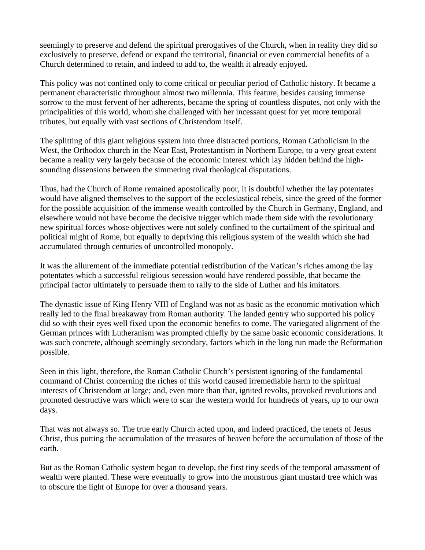seemingly to preserve and defend the spiritual prerogatives of the Church, when in reality they did so exclusively to preserve, defend or expand the territorial, financial or even commercial benefits of a Church determined to retain, and indeed to add to, the wealth it already enjoyed.

This policy was not confined only to come critical or peculiar period of Catholic history. It became a permanent characteristic throughout almost two millennia. This feature, besides causing immense sorrow to the most fervent of her adherents, became the spring of countless disputes, not only with the principalities of this world, whom she challenged with her incessant quest for yet more temporal tributes, but equally with vast sections of Christendom itself.

The splitting of this giant religious system into three distracted portions, Roman Catholicism in the West, the Orthodox church in the Near East, Protestantism in Northern Europe, to a very great extent became a reality very largely because of the economic interest which lay hidden behind the highsounding dissensions between the simmering rival theological disputations.

Thus, had the Church of Rome remained apostolically poor, it is doubtful whether the lay potentates would have aligned themselves to the support of the ecclesiastical rebels, since the greed of the former for the possible acquisition of the immense wealth controlled by the Church in Germany, England, and elsewhere would not have become the decisive trigger which made them side with the revolutionary new spiritual forces whose objectives were not solely confined to the curtailment of the spiritual and political might of Rome, but equally to depriving this religious system of the wealth which she had accumulated through centuries of uncontrolled monopoly.

It was the allurement of the immediate potential redistribution of the Vatican's riches among the lay potentates which a successful religious secession would have rendered possible, that became the principal factor ultimately to persuade them to rally to the side of Luther and his imitators.

The dynastic issue of King Henry VIII of England was not as basic as the economic motivation which really led to the final breakaway from Roman authority. The landed gentry who supported his policy did so with their eyes well fixed upon the economic benefits to come. The variegated alignment of the German princes with Lutheranism was prompted chiefly by the same basic economic considerations. It was such concrete, although seemingly secondary, factors which in the long run made the Reformation possible.

Seen in this light, therefore, the Roman Catholic Church's persistent ignoring of the fundamental command of Christ concerning the riches of this world caused irremediable harm to the spiritual interests of Christendom at large; and, even more than that, ignited revolts, provoked revolutions and promoted destructive wars which were to scar the western world for hundreds of years, up to our own days.

That was not always so. The true early Church acted upon, and indeed practiced, the tenets of Jesus Christ, thus putting the accumulation of the treasures of heaven before the accumulation of those of the earth.

But as the Roman Catholic system began to develop, the first tiny seeds of the temporal amassment of wealth were planted. These were eventually to grow into the monstrous giant mustard tree which was to obscure the light of Europe for over a thousand years.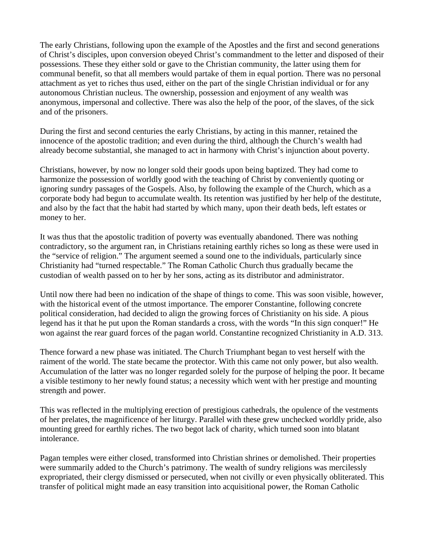The early Christians, following upon the example of the Apostles and the first and second generations of Christ's disciples, upon conversion obeyed Christ's commandment to the letter and disposed of their possessions. These they either sold or gave to the Christian community, the latter using them for communal benefit, so that all members would partake of them in equal portion. There was no personal attachment as yet to riches thus used, either on the part of the single Christian individual or for any autonomous Christian nucleus. The ownership, possession and enjoyment of any wealth was anonymous, impersonal and collective. There was also the help of the poor, of the slaves, of the sick and of the prisoners.

During the first and second centuries the early Christians, by acting in this manner, retained the innocence of the apostolic tradition; and even during the third, although the Church's wealth had already become substantial, she managed to act in harmony with Christ's injunction about poverty.

Christians, however, by now no longer sold their goods upon being baptized. They had come to harmonize the possession of worldly good with the teaching of Christ by conveniently quoting or ignoring sundry passages of the Gospels. Also, by following the example of the Church, which as a corporate body had begun to accumulate wealth. Its retention was justified by her help of the destitute, and also by the fact that the habit had started by which many, upon their death beds, left estates or money to her.

It was thus that the apostolic tradition of poverty was eventually abandoned. There was nothing contradictory, so the argument ran, in Christians retaining earthly riches so long as these were used in the "service of religion." The argument seemed a sound one to the individuals, particularly since Christianity had "turned respectable." The Roman Catholic Church thus gradually became the custodian of wealth passed on to her by her sons, acting as its distributor and administrator.

Until now there had been no indication of the shape of things to come. This was soon visible, however, with the historical event of the utmost importance. The emporer Constantine, following concrete political consideration, had decided to align the growing forces of Christianity on his side. A pious legend has it that he put upon the Roman standards a cross, with the words "In this sign conquer!" He won against the rear guard forces of the pagan world. Constantine recognized Christianity in A.D. 313.

Thence forward a new phase was initiated. The Church Triumphant began to vest herself with the raiment of the world. The state became the protector. With this came not only power, but also wealth. Accumulation of the latter was no longer regarded solely for the purpose of helping the poor. It became a visible testimony to her newly found status; a necessity which went with her prestige and mounting strength and power.

This was reflected in the multiplying erection of prestigious cathedrals, the opulence of the vestments of her prelates, the magnificence of her liturgy. Parallel with these grew unchecked worldly pride, also mounting greed for earthly riches. The two begot lack of charity, which turned soon into blatant intolerance.

Pagan temples were either closed, transformed into Christian shrines or demolished. Their properties were summarily added to the Church's patrimony. The wealth of sundry religions was mercilessly expropriated, their clergy dismissed or persecuted, when not civilly or even physically obliterated. This transfer of political might made an easy transition into acquisitional power, the Roman Catholic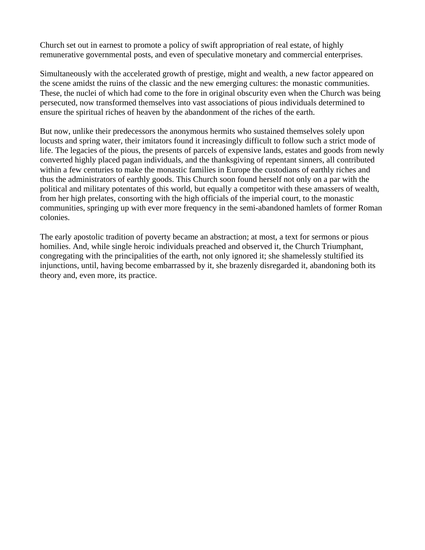Church set out in earnest to promote a policy of swift appropriation of real estate, of highly remunerative governmental posts, and even of speculative monetary and commercial enterprises.

Simultaneously with the accelerated growth of prestige, might and wealth, a new factor appeared on the scene amidst the ruins of the classic and the new emerging cultures: the monastic communities. These, the nuclei of which had come to the fore in original obscurity even when the Church was being persecuted, now transformed themselves into vast associations of pious individuals determined to ensure the spiritual riches of heaven by the abandonment of the riches of the earth.

But now, unlike their predecessors the anonymous hermits who sustained themselves solely upon locusts and spring water, their imitators found it increasingly difficult to follow such a strict mode of life. The legacies of the pious, the presents of parcels of expensive lands, estates and goods from newly converted highly placed pagan individuals, and the thanksgiving of repentant sinners, all contributed within a few centuries to make the monastic families in Europe the custodians of earthly riches and thus the administrators of earthly goods. This Church soon found herself not only on a par with the political and military potentates of this world, but equally a competitor with these amassers of wealth, from her high prelates, consorting with the high officials of the imperial court, to the monastic communities, springing up with ever more frequency in the semi-abandoned hamlets of former Roman colonies.

The early apostolic tradition of poverty became an abstraction; at most, a text for sermons or pious homilies. And, while single heroic individuals preached and observed it, the Church Triumphant, congregating with the principalities of the earth, not only ignored it; she shamelessly stultified its injunctions, until, having become embarrassed by it, she brazenly disregarded it, abandoning both its theory and, even more, its practice.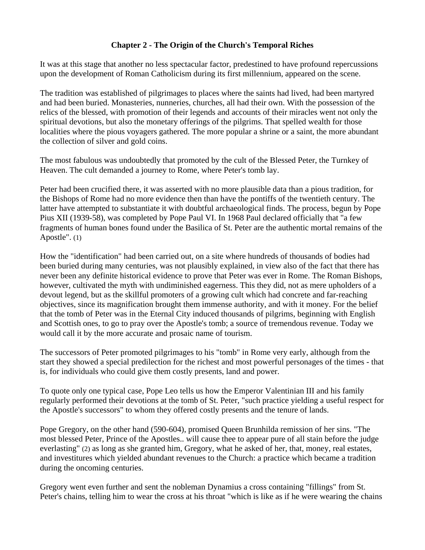# **Chapter 2 - The Origin of the Church's Temporal Riches**

It was at this stage that another no less spectacular factor, predestined to have profound repercussions upon the development of Roman Catholicism during its first millennium, appeared on the scene.

The tradition was established of pilgrimages to places where the saints had lived, had been martyred and had been buried. Monasteries, nunneries, churches, all had their own. With the possession of the relics of the blessed, with promotion of their legends and accounts of their miracles went not only the spiritual devotions, but also the monetary offerings of the pilgrims. That spelled wealth for those localities where the pious voyagers gathered. The more popular a shrine or a saint, the more abundant the collection of silver and gold coins.

The most fabulous was undoubtedly that promoted by the cult of the Blessed Peter, the Turnkey of Heaven. The cult demanded a journey to Rome, where Peter's tomb lay.

Peter had been crucified there, it was asserted with no more plausible data than a pious tradition, for the Bishops of Rome had no more evidence then than have the pontiffs of the twentieth century. The latter have attempted to substantiate it with doubtful archaeological finds. The process, begun by Pope Pius XII (1939-58), was completed by Pope Paul VI. In 1968 Paul declared officially that "a few fragments of human bones found under the Basilica of St. Peter are the authentic mortal remains of the Apostle". (1)

How the "identification" had been carried out, on a site where hundreds of thousands of bodies had been buried during many centuries, was not plausibly explained, in view also of the fact that there has never been any definite historical evidence to prove that Peter was ever in Rome. The Roman Bishops, however, cultivated the myth with undiminished eagerness. This they did, not as mere upholders of a devout legend, but as the skillful promoters of a growing cult which had concrete and far-reaching objectives, since its magnification brought them immense authority, and with it money. For the belief that the tomb of Peter was in the Eternal City induced thousands of pilgrims, beginning with English and Scottish ones, to go to pray over the Apostle's tomb; a source of tremendous revenue. Today we would call it by the more accurate and prosaic name of tourism.

The successors of Peter promoted pilgrimages to his "tomb" in Rome very early, although from the start they showed a special predilection for the richest and most powerful personages of the times - that is, for individuals who could give them costly presents, land and power.

To quote only one typical case, Pope Leo tells us how the Emperor Valentinian III and his family regularly performed their devotions at the tomb of St. Peter, "such practice yielding a useful respect for the Apostle's successors" to whom they offered costly presents and the tenure of lands.

Pope Gregory, on the other hand (590-604), promised Queen Brunhilda remission of her sins. "The most blessed Peter, Prince of the Apostles.. will cause thee to appear pure of all stain before the judge everlasting" (2) as long as she granted him, Gregory, what he asked of her, that, money, real estates, and investitures which yielded abundant revenues to the Church: a practice which became a tradition during the oncoming centuries.

Gregory went even further and sent the nobleman Dynamius a cross containing "fillings" from St. Peter's chains, telling him to wear the cross at his throat "which is like as if he were wearing the chains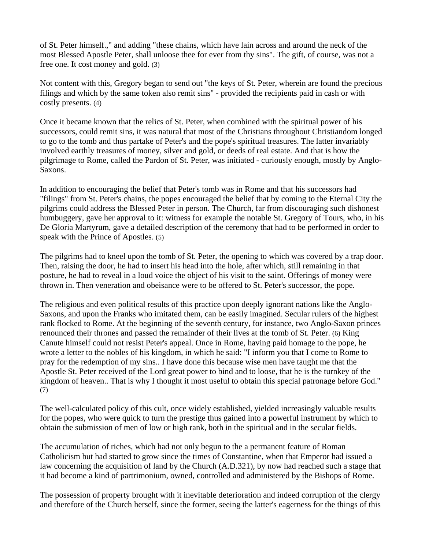of St. Peter himself.," and adding "these chains, which have lain across and around the neck of the most Blessed Apostle Peter, shall unloose thee for ever from thy sins". The gift, of course, was not a free one. It cost money and gold. (3)

Not content with this, Gregory began to send out "the keys of St. Peter, wherein are found the precious filings and which by the same token also remit sins" - provided the recipients paid in cash or with costly presents. (4)

Once it became known that the relics of St. Peter, when combined with the spiritual power of his successors, could remit sins, it was natural that most of the Christians throughout Christiandom longed to go to the tomb and thus partake of Peter's and the pope's spiritual treasures. The latter invariably involved earthly treasures of money, silver and gold, or deeds of real estate. And that is how the pilgrimage to Rome, called the Pardon of St. Peter, was initiated - curiously enough, mostly by Anglo-Saxons.

In addition to encouraging the belief that Peter's tomb was in Rome and that his successors had "filings" from St. Peter's chains, the popes encouraged the belief that by coming to the Eternal City the pilgrims could address the Blessed Peter in person. The Church, far from discouraging such dishonest humbuggery, gave her approval to it: witness for example the notable St. Gregory of Tours, who, in his De Gloria Martyrum, gave a detailed description of the ceremony that had to be performed in order to speak with the Prince of Apostles. (5)

The pilgrims had to kneel upon the tomb of St. Peter, the opening to which was covered by a trap door. Then, raising the door, he had to insert his head into the hole, after which, still remaining in that posture, he had to reveal in a loud voice the object of his visit to the saint. Offerings of money were thrown in. Then veneration and obeisance were to be offered to St. Peter's successor, the pope.

The religious and even political results of this practice upon deeply ignorant nations like the Anglo-Saxons, and upon the Franks who imitated them, can be easily imagined. Secular rulers of the highest rank flocked to Rome. At the beginning of the seventh century, for instance, two Anglo-Saxon princes renounced their thrones and passed the remainder of their lives at the tomb of St. Peter. (6) King Canute himself could not resist Peter's appeal. Once in Rome, having paid homage to the pope, he wrote a letter to the nobles of his kingdom, in which he said: "I inform you that I come to Rome to pray for the redemption of my sins.. I have done this because wise men have taught me that the Apostle St. Peter received of the Lord great power to bind and to loose, that he is the turnkey of the kingdom of heaven.. That is why I thought it most useful to obtain this special patronage before God." (7)

The well-calculated policy of this cult, once widely established, yielded increasingly valuable results for the popes, who were quick to turn the prestige thus gained into a powerful instrument by which to obtain the submission of men of low or high rank, both in the spiritual and in the secular fields.

The accumulation of riches, which had not only begun to the a permanent feature of Roman Catholicism but had started to grow since the times of Constantine, when that Emperor had issued a law concerning the acquisition of land by the Church (A.D.321), by now had reached such a stage that it had become a kind of partrimonium, owned, controlled and administered by the Bishops of Rome.

The possession of property brought with it inevitable deterioration and indeed corruption of the clergy and therefore of the Church herself, since the former, seeing the latter's eagerness for the things of this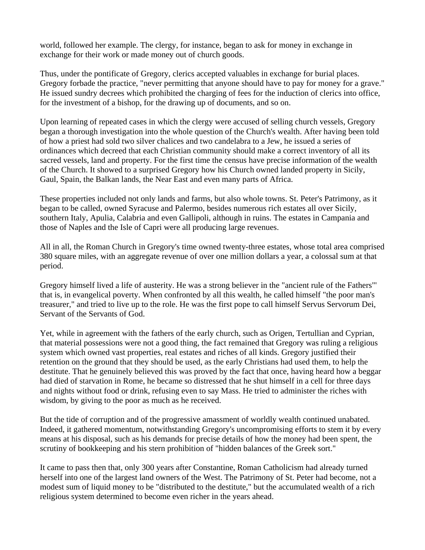world, followed her example. The clergy, for instance, began to ask for money in exchange in exchange for their work or made money out of church goods.

Thus, under the pontificate of Gregory, clerics accepted valuables in exchange for burial places. Gregory forbade the practice, "never permitting that anyone should have to pay for money for a grave." He issued sundry decrees which prohibited the charging of fees for the induction of clerics into office, for the investment of a bishop, for the drawing up of documents, and so on.

Upon learning of repeated cases in which the clergy were accused of selling church vessels, Gregory began a thorough investigation into the whole question of the Church's wealth. After having been told of how a priest had sold two silver chalices and two candelabra to a Jew, he issued a series of ordinances which decreed that each Christian community should make a correct inventory of all its sacred vessels, land and property. For the first time the census have precise information of the wealth of the Church. It showed to a surprised Gregory how his Church owned landed property in Sicily, Gaul, Spain, the Balkan lands, the Near East and even many parts of Africa.

These properties included not only lands and farms, but also whole towns. St. Peter's Patrimony, as it began to be called, owned Syracuse and Palermo, besides numerous rich estates all over Sicily, southern Italy, Apulia, Calabria and even Gallipoli, although in ruins. The estates in Campania and those of Naples and the Isle of Capri were all producing large revenues.

All in all, the Roman Church in Gregory's time owned twenty-three estates, whose total area comprised 380 square miles, with an aggregate revenue of over one million dollars a year, a colossal sum at that period.

Gregory himself lived a life of austerity. He was a strong believer in the "ancient rule of the Fathers"' that is, in evangelical poverty. When confronted by all this wealth, he called himself "the poor man's treasurer," and tried to live up to the role. He was the first pope to call himself Servus Servorum Dei, Servant of the Servants of God.

Yet, while in agreement with the fathers of the early church, such as Origen, Tertullian and Cyprian, that material possessions were not a good thing, the fact remained that Gregory was ruling a religious system which owned vast properties, real estates and riches of all kinds. Gregory justified their retention on the ground that they should be used, as the early Christians had used them, to help the destitute. That he genuinely believed this was proved by the fact that once, having heard how a beggar had died of starvation in Rome, he became so distressed that he shut himself in a cell for three days and nights without food or drink, refusing even to say Mass. He tried to administer the riches with wisdom, by giving to the poor as much as he received.

But the tide of corruption and of the progressive amassment of worldly wealth continued unabated. Indeed, it gathered momentum, notwithstanding Gregory's uncompromising efforts to stem it by every means at his disposal, such as his demands for precise details of how the money had been spent, the scrutiny of bookkeeping and his stern prohibition of "hidden balances of the Greek sort."

It came to pass then that, only 300 years after Constantine, Roman Catholicism had already turned herself into one of the largest land owners of the West. The Patrimony of St. Peter had become, not a modest sum of liquid money to be "distributed to the destitute," but the accumulated wealth of a rich religious system determined to become even richer in the years ahead.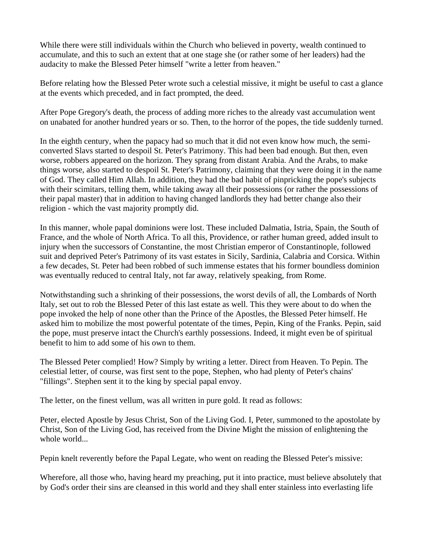While there were still individuals within the Church who believed in poverty, wealth continued to accumulate, and this to such an extent that at one stage she (or rather some of her leaders) had the audacity to make the Blessed Peter himself "write a letter from heaven."

Before relating how the Blessed Peter wrote such a celestial missive, it might be useful to cast a glance at the events which preceded, and in fact prompted, the deed.

After Pope Gregory's death, the process of adding more riches to the already vast accumulation went on unabated for another hundred years or so. Then, to the horror of the popes, the tide suddenly turned.

In the eighth century, when the papacy had so much that it did not even know how much, the semiconverted Slavs started to despoil St. Peter's Patrimony. This had been bad enough. But then, even worse, robbers appeared on the horizon. They sprang from distant Arabia. And the Arabs, to make things worse, also started to despoil St. Peter's Patrimony, claiming that they were doing it in the name of God. They called Him Allah. In addition, they had the bad habit of pinpricking the pope's subjects with their scimitars, telling them, while taking away all their possessions (or rather the possessions of their papal master) that in addition to having changed landlords they had better change also their religion - which the vast majority promptly did.

In this manner, whole papal dominions were lost. These included Dalmatia, Istria, Spain, the South of France, and the whole of North Africa. To all this, Providence, or rather human greed, added insult to injury when the successors of Constantine, the most Christian emperor of Constantinople, followed suit and deprived Peter's Patrimony of its vast estates in Sicily, Sardinia, Calabria and Corsica. Within a few decades, St. Peter had been robbed of such immense estates that his former boundless dominion was eventually reduced to central Italy, not far away, relatively speaking, from Rome.

Notwithstanding such a shrinking of their possessions, the worst devils of all, the Lombards of North Italy, set out to rob the Blessed Peter of this last estate as well. This they were about to do when the pope invoked the help of none other than the Prince of the Apostles, the Blessed Peter himself. He asked him to mobilize the most powerful potentate of the times, Pepin, King of the Franks. Pepin, said the pope, must preserve intact the Church's earthly possessions. Indeed, it might even be of spiritual benefit to him to add some of his own to them.

The Blessed Peter complied! How? Simply by writing a letter. Direct from Heaven. To Pepin. The celestial letter, of course, was first sent to the pope, Stephen, who had plenty of Peter's chains' "fillings". Stephen sent it to the king by special papal envoy.

The letter, on the finest vellum, was all written in pure gold. It read as follows:

Peter, elected Apostle by Jesus Christ, Son of the Living God. I, Peter, summoned to the apostolate by Christ, Son of the Living God, has received from the Divine Might the mission of enlightening the whole world...

Pepin knelt reverently before the Papal Legate, who went on reading the Blessed Peter's missive:

Wherefore, all those who, having heard my preaching, put it into practice, must believe absolutely that by God's order their sins are cleansed in this world and they shall enter stainless into everlasting life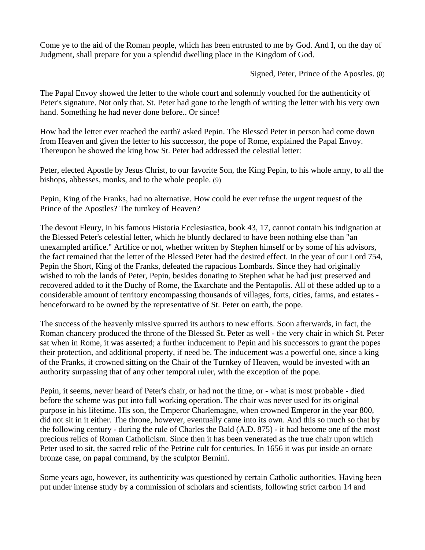Come ye to the aid of the Roman people, which has been entrusted to me by God. And I, on the day of Judgment, shall prepare for you a splendid dwelling place in the Kingdom of God.

Signed, Peter, Prince of the Apostles. (8)

The Papal Envoy showed the letter to the whole court and solemnly vouched for the authenticity of Peter's signature. Not only that. St. Peter had gone to the length of writing the letter with his very own hand. Something he had never done before.. Or since!

How had the letter ever reached the earth? asked Pepin. The Blessed Peter in person had come down from Heaven and given the letter to his successor, the pope of Rome, explained the Papal Envoy. Thereupon he showed the king how St. Peter had addressed the celestial letter:

Peter, elected Apostle by Jesus Christ, to our favorite Son, the King Pepin, to his whole army, to all the bishops, abbesses, monks, and to the whole people. (9)

Pepin, King of the Franks, had no alternative. How could he ever refuse the urgent request of the Prince of the Apostles? The turnkey of Heaven?

The devout Fleury, in his famous Historia Ecclesiastica, book 43, 17, cannot contain his indignation at the Blessed Peter's celestial letter, which he bluntly declared to have been nothing else than "an unexampled artifice." Artifice or not, whether written by Stephen himself or by some of his advisors, the fact remained that the letter of the Blessed Peter had the desired effect. In the year of our Lord 754, Pepin the Short, King of the Franks, defeated the rapacious Lombards. Since they had originally wished to rob the lands of Peter, Pepin, besides donating to Stephen what he had just preserved and recovered added to it the Duchy of Rome, the Exarchate and the Pentapolis. All of these added up to a considerable amount of territory encompassing thousands of villages, forts, cities, farms, and estates henceforward to be owned by the representative of St. Peter on earth, the pope.

The success of the heavenly missive spurred its authors to new efforts. Soon afterwards, in fact, the Roman chancery produced the throne of the Blessed St. Peter as well - the very chair in which St. Peter sat when in Rome, it was asserted; a further inducement to Pepin and his successors to grant the popes their protection, and additional property, if need be. The inducement was a powerful one, since a king of the Franks, if crowned sitting on the Chair of the Turnkey of Heaven, would be invested with an authority surpassing that of any other temporal ruler, with the exception of the pope.

Pepin, it seems, never heard of Peter's chair, or had not the time, or - what is most probable - died before the scheme was put into full working operation. The chair was never used for its original purpose in his lifetime. His son, the Emperor Charlemagne, when crowned Emperor in the year 800, did not sit in it either. The throne, however, eventually came into its own. And this so much so that by the following century - during the rule of Charles the Bald (A.D. 875) - it had become one of the most precious relics of Roman Catholicism. Since then it has been venerated as the true chair upon which Peter used to sit, the sacred relic of the Petrine cult for centuries. In 1656 it was put inside an ornate bronze case, on papal command, by the sculptor Bernini.

Some years ago, however, its authenticity was questioned by certain Catholic authorities. Having been put under intense study by a commission of scholars and scientists, following strict carbon 14 and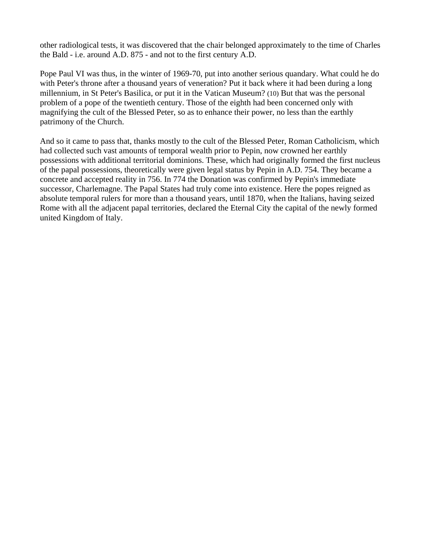other radiological tests, it was discovered that the chair belonged approximately to the time of Charles the Bald - i.e. around A.D. 875 - and not to the first century A.D.

Pope Paul VI was thus, in the winter of 1969-70, put into another serious quandary. What could he do with Peter's throne after a thousand years of veneration? Put it back where it had been during a long millennium, in St Peter's Basilica, or put it in the Vatican Museum? (10) But that was the personal problem of a pope of the twentieth century. Those of the eighth had been concerned only with magnifying the cult of the Blessed Peter, so as to enhance their power, no less than the earthly patrimony of the Church.

And so it came to pass that, thanks mostly to the cult of the Blessed Peter, Roman Catholicism, which had collected such vast amounts of temporal wealth prior to Pepin, now crowned her earthly possessions with additional territorial dominions. These, which had originally formed the first nucleus of the papal possessions, theoretically were given legal status by Pepin in A.D. 754. They became a concrete and accepted reality in 756. In 774 the Donation was confirmed by Pepin's immediate successor, Charlemagne. The Papal States had truly come into existence. Here the popes reigned as absolute temporal rulers for more than a thousand years, until 1870, when the Italians, having seized Rome with all the adjacent papal territories, declared the Eternal City the capital of the newly formed united Kingdom of Italy.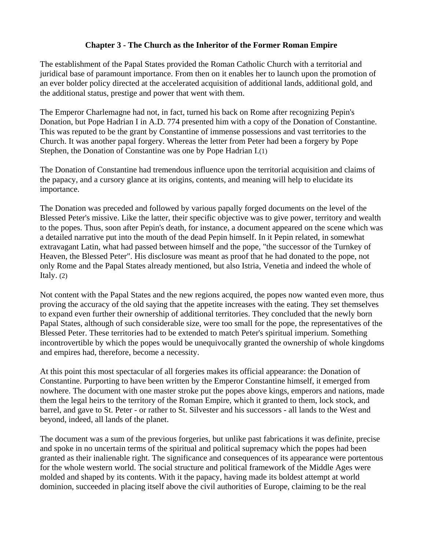# **Chapter 3 - The Church as the Inheritor of the Former Roman Empire**

The establishment of the Papal States provided the Roman Catholic Church with a territorial and juridical base of paramount importance. From then on it enables her to launch upon the promotion of an ever bolder policy directed at the accelerated acquisition of additional lands, additional gold, and the additional status, prestige and power that went with them.

The Emperor Charlemagne had not, in fact, turned his back on Rome after recognizing Pepin's Donation, but Pope Hadrian I in A.D. 774 presented him with a copy of the Donation of Constantine. This was reputed to be the grant by Constantine of immense possessions and vast territories to the Church. It was another papal forgery. Whereas the letter from Peter had been a forgery by Pope Stephen, the Donation of Constantine was one by Pope Hadrian I.(1)

The Donation of Constantine had tremendous influence upon the territorial acquisition and claims of the papacy, and a cursory glance at its origins, contents, and meaning will help to elucidate its importance.

The Donation was preceded and followed by various papally forged documents on the level of the Blessed Peter's missive. Like the latter, their specific objective was to give power, territory and wealth to the popes. Thus, soon after Pepin's death, for instance, a document appeared on the scene which was a detailed narrative put into the mouth of the dead Pepin himself. In it Pepin related, in somewhat extravagant Latin, what had passed between himself and the pope, "the successor of the Turnkey of Heaven, the Blessed Peter". His disclosure was meant as proof that he had donated to the pope, not only Rome and the Papal States already mentioned, but also Istria, Venetia and indeed the whole of Italy.  $(2)$ 

Not content with the Papal States and the new regions acquired, the popes now wanted even more, thus proving the accuracy of the old saying that the appetite increases with the eating. They set themselves to expand even further their ownership of additional territories. They concluded that the newly born Papal States, although of such considerable size, were too small for the pope, the representatives of the Blessed Peter. These territories had to be extended to match Peter's spiritual imperium. Something incontrovertible by which the popes would be unequivocally granted the ownership of whole kingdoms and empires had, therefore, become a necessity.

At this point this most spectacular of all forgeries makes its official appearance: the Donation of Constantine. Purporting to have been written by the Emperor Constantine himself, it emerged from nowhere. The document with one master stroke put the popes above kings, emperors and nations, made them the legal heirs to the territory of the Roman Empire, which it granted to them, lock stock, and barrel, and gave to St. Peter - or rather to St. Silvester and his successors - all lands to the West and beyond, indeed, all lands of the planet.

The document was a sum of the previous forgeries, but unlike past fabrications it was definite, precise and spoke in no uncertain terms of the spiritual and political supremacy which the popes had been granted as their inalienable right. The significance and consequences of its appearance were portentous for the whole western world. The social structure and political framework of the Middle Ages were molded and shaped by its contents. With it the papacy, having made its boldest attempt at world dominion, succeeded in placing itself above the civil authorities of Europe, claiming to be the real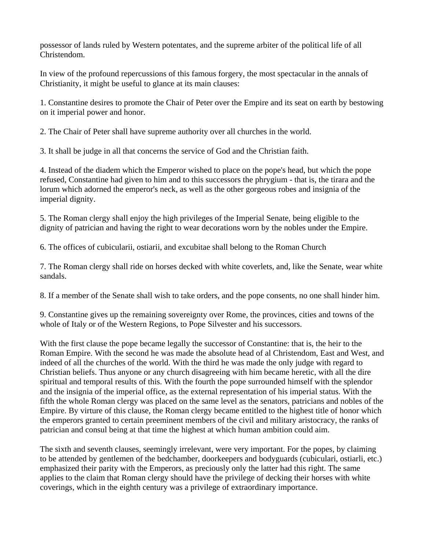possessor of lands ruled by Western potentates, and the supreme arbiter of the political life of all Christendom.

In view of the profound repercussions of this famous forgery, the most spectacular in the annals of Christianity, it might be useful to glance at its main clauses:

1. Constantine desires to promote the Chair of Peter over the Empire and its seat on earth by bestowing on it imperial power and honor.

2. The Chair of Peter shall have supreme authority over all churches in the world.

3. It shall be judge in all that concerns the service of God and the Christian faith.

4. Instead of the diadem which the Emperor wished to place on the pope's head, but which the pope refused, Constantine had given to him and to this successors the phrygium - that is, the tirara and the lorum which adorned the emperor's neck, as well as the other gorgeous robes and insignia of the imperial dignity.

5. The Roman clergy shall enjoy the high privileges of the Imperial Senate, being eligible to the dignity of patrician and having the right to wear decorations worn by the nobles under the Empire.

6. The offices of cubicularii, ostiarii, and excubitae shall belong to the Roman Church

7. The Roman clergy shall ride on horses decked with white coverlets, and, like the Senate, wear white sandals.

8. If a member of the Senate shall wish to take orders, and the pope consents, no one shall hinder him.

9. Constantine gives up the remaining sovereignty over Rome, the provinces, cities and towns of the whole of Italy or of the Western Regions, to Pope Silvester and his successors.

With the first clause the pope became legally the successor of Constantine: that is, the heir to the Roman Empire. With the second he was made the absolute head of al Christendom, East and West, and indeed of all the churches of the world. With the third he was made the only judge with regard to Christian beliefs. Thus anyone or any church disagreeing with him became heretic, with all the dire spiritual and temporal results of this. With the fourth the pope surrounded himself with the splendor and the insignia of the imperial office, as the external representation of his imperial status. With the fifth the whole Roman clergy was placed on the same level as the senators, patricians and nobles of the Empire. By virture of this clause, the Roman clergy became entitled to the highest title of honor which the emperors granted to certain preeminent members of the civil and military aristocracy, the ranks of patrician and consul being at that time the highest at which human ambition could aim.

The sixth and seventh clauses, seemingly irrelevant, were very important. For the popes, by claiming to be attended by gentlemen of the bedchamber, doorkeepers and bodyguards (cubiculari, ostiarli, etc.) emphasized their parity with the Emperors, as preciously only the latter had this right. The same applies to the claim that Roman clergy should have the privilege of decking their horses with white coverings, which in the eighth century was a privilege of extraordinary importance.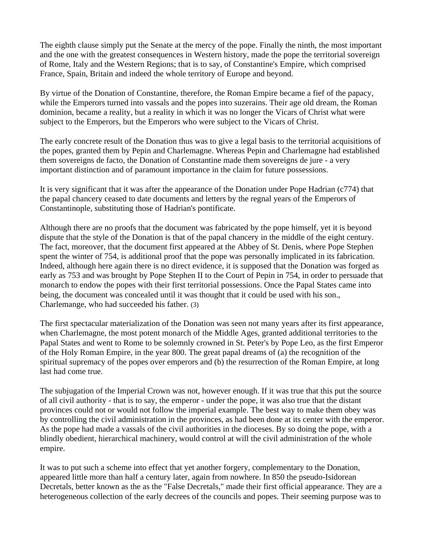The eighth clause simply put the Senate at the mercy of the pope. Finally the ninth, the most important and the one with the greatest consequences in Western history, made the pope the territorial sovereign of Rome, Italy and the Western Regions; that is to say, of Constantine's Empire, which comprised France, Spain, Britain and indeed the whole territory of Europe and beyond.

By virtue of the Donation of Constantine, therefore, the Roman Empire became a fief of the papacy, while the Emperors turned into vassals and the popes into suzerains. Their age old dream, the Roman dominion, became a reality, but a reality in which it was no longer the Vicars of Christ what were subject to the Emperors, but the Emperors who were subject to the Vicars of Christ.

The early concrete result of the Donation thus was to give a legal basis to the territorial acquisitions of the popes, granted them by Pepin and Charlemagne. Whereas Pepin and Charlemagne had established them sovereigns de facto, the Donation of Constantine made them sovereigns de jure - a very important distinction and of paramount importance in the claim for future possessions.

It is very significant that it was after the appearance of the Donation under Pope Hadrian (c774) that the papal chancery ceased to date documents and letters by the regnal years of the Emperors of Constantinople, substituting those of Hadrian's pontificate.

Although there are no proofs that the document was fabricated by the pope himself, yet it is beyond dispute that the style of the Donation is that of the papal chancery in the middle of the eight century. The fact, moreover, that the document first appeared at the Abbey of St. Denis, where Pope Stephen spent the winter of 754, is additional proof that the pope was personally implicated in its fabrication. Indeed, although here again there is no direct evidence, it is supposed that the Donation was forged as early as 753 and was brought by Pope Stephen II to the Court of Pepin in 754, in order to persuade that monarch to endow the popes with their first territorial possessions. Once the Papal States came into being, the document was concealed until it was thought that it could be used with his son., Charlemange, who had succeeded his father. (3)

The first spectacular materialization of the Donation was seen not many years after its first appearance, when Charlemagne, the most potent monarch of the Middle Ages, granted additional territories to the Papal States and went to Rome to be solemnly crowned in St. Peter's by Pope Leo, as the first Emperor of the Holy Roman Empire, in the year 800. The great papal dreams of (a) the recognition of the spiritual supremacy of the popes over emperors and (b) the resurrection of the Roman Empire, at long last had come true.

The subjugation of the Imperial Crown was not, however enough. If it was true that this put the source of all civil authority - that is to say, the emperor - under the pope, it was also true that the distant provinces could not or would not follow the imperial example. The best way to make them obey was by controlling the civil administration in the provinces, as had been done at its center with the emperor. As the pope had made a vassals of the civil authorities in the dioceses. By so doing the pope, with a blindly obedient, hierarchical machinery, would control at will the civil administration of the whole empire.

It was to put such a scheme into effect that yet another forgery, complementary to the Donation, appeared little more than half a century later, again from nowhere. In 850 the pseudo-Isidorean Decretals, better known as the as the "False Decretals," made their first official appearance. They are a heterogeneous collection of the early decrees of the councils and popes. Their seeming purpose was to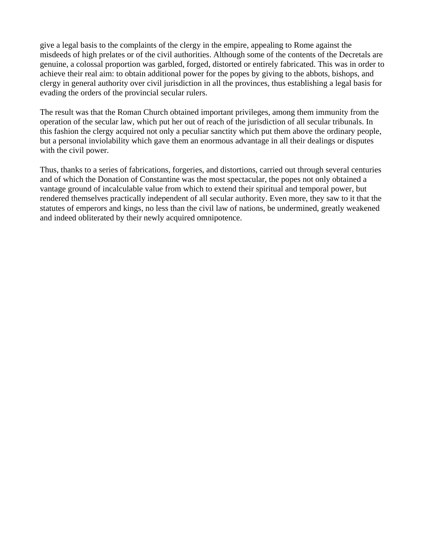give a legal basis to the complaints of the clergy in the empire, appealing to Rome against the misdeeds of high prelates or of the civil authorities. Although some of the contents of the Decretals are genuine, a colossal proportion was garbled, forged, distorted or entirely fabricated. This was in order to achieve their real aim: to obtain additional power for the popes by giving to the abbots, bishops, and clergy in general authority over civil jurisdiction in all the provinces, thus establishing a legal basis for evading the orders of the provincial secular rulers.

The result was that the Roman Church obtained important privileges, among them immunity from the operation of the secular law, which put her out of reach of the jurisdiction of all secular tribunals. In this fashion the clergy acquired not only a peculiar sanctity which put them above the ordinary people, but a personal inviolability which gave them an enormous advantage in all their dealings or disputes with the civil power.

Thus, thanks to a series of fabrications, forgeries, and distortions, carried out through several centuries and of which the Donation of Constantine was the most spectacular, the popes not only obtained a vantage ground of incalculable value from which to extend their spiritual and temporal power, but rendered themselves practically independent of all secular authority. Even more, they saw to it that the statutes of emperors and kings, no less than the civil law of nations, be undermined, greatly weakened and indeed obliterated by their newly acquired omnipotence.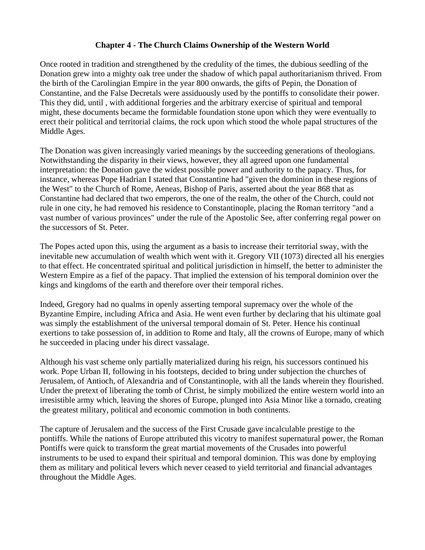# **Chapter 4 - The Church Claims Ownership of the Western World**

Once rooted in tradition and strengthened by the credulity of the times, the dubious seedling of the Donation grew into a mighty oak tree under the shadow of which papal authoritarianism thrived. From the birth of the Carolingian Empire in the year 800 onwards, the gifts of Pepin, the Donation of Constantine, and the False Decretals were assiduously used by the pontiffs to consolidate their power. This they did, until , with additional forgeries and the arbitrary exercise of spiritual and temporal might, these documents became the formidable foundation stone upon which they were eventually to erect their political and territorial claims, the rock upon which stood the whole papal structures of the Middle Ages.

The Donation was given increasingly varied meanings by the succeeding generations of theologians. Notwithstanding the disparity in their views, however, they all agreed upon one fundamental interpretation: the Donation gave the widest possible power and authority to the papacy. Thus, for instance, whereas Pope Hadrian I stated that Constantine had "given the dominion in these regions of the West" to the Church of Rome, Aeneas, Bishop of Paris, asserted about the year 868 that as Constantine had declared that two emperors, the one of the realm, the other of the Church, could not rule in one city, he had removed his residence to Constantinople, placing the Roman territory "and a vast number of various provinces" under the rule of the Apostolic See, after conferring regal power on the successors of St. Peter.

The Popes acted upon this, using the argument as a basis to increase their territorial sway, with the inevitable new accumulation of wealth which went with it. Gregory VII (1073) directed all his energies to that effect. He concentrated spiritual and political jurisdiction in himself, the better to administer the Western Empire as a fief of the papacy. That implied the extension of his temporal dominion over the kings and kingdoms of the earth and therefore over their temporal riches.

Indeed, Gregory had no qualms in openly asserting temporal supremacy over the whole of the Byzantine Empire, including Africa and Asia. He went even further by declaring that his ultimate goal was simply the establishment of the universal temporal domain of St. Peter. Hence his continual exertions to take possession of, in addition to Rome and Italy, all the crowns of Europe, many of which he succeeded in placing under his direct vassalage.

Although his vast scheme only partially materialized during his reign, his successors continued his work. Pope Urban II, following in his footsteps, decided to bring under subjection the churches of Jerusalem, of Antioch, of Alexandria and of Constantinople, with all the lands wherein they flourished. Under the pretext of liberating the tomb of Christ, he simply mobilized the entire western world into an irresistible army which, leaving the shores of Europe, plunged into Asia Minor like a tornado, creating the greatest military, political and economic commotion in both continents.

The capture of Jerusalem and the success of the First Crusade gave incalculable prestige to the pontiffs. While the nations of Europe attributed this vicotry to manifest supernatural power, the Roman Pontiffs were quick to transform the great martial movements of the Crusades into powerful instruments to be used to expand their spiritual and temporal dominion. This was done by employing them as military and political levers which never ceased to yield territorial and financial advantages throughout the Middle Ages.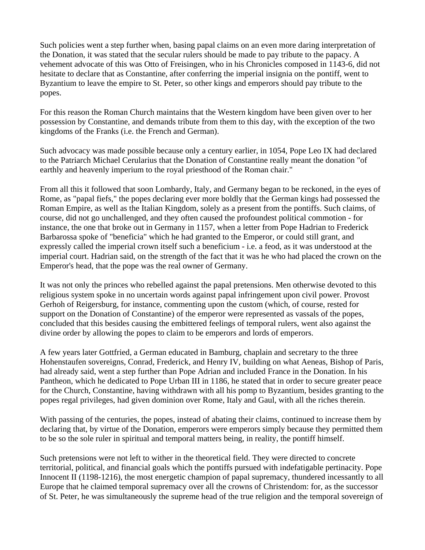Such policies went a step further when, basing papal claims on an even more daring interpretation of the Donation, it was stated that the secular rulers should be made to pay tribute to the papacy. A vehement advocate of this was Otto of Freisingen, who in his Chronicles composed in 1143-6, did not hesitate to declare that as Constantine, after conferring the imperial insignia on the pontiff, went to Byzantium to leave the empire to St. Peter, so other kings and emperors should pay tribute to the popes.

For this reason the Roman Church maintains that the Western kingdom have been given over to her possession by Constantine, and demands tribute from them to this day, with the exception of the two kingdoms of the Franks (i.e. the French and German).

Such advocacy was made possible because only a century earlier, in 1054, Pope Leo IX had declared to the Patriarch Michael Cerularius that the Donation of Constantine really meant the donation "of earthly and heavenly imperium to the royal priesthood of the Roman chair."

From all this it followed that soon Lombardy, Italy, and Germany began to be reckoned, in the eyes of Rome, as "papal fiefs," the popes declaring ever more boldly that the German kings had possessed the Roman Empire, as well as the Italian Kingdom, solely as a present from the pontiffs. Such claims, of course, did not go unchallenged, and they often caused the profoundest political commotion - for instance, the one that broke out in Germany in 1157, when a letter from Pope Hadrian to Frederick Barbarossa spoke of "beneficia" which he had granted to the Emperor, or could still grant, and expressly called the imperial crown itself such a beneficium - i.e. a feod, as it was understood at the imperial court. Hadrian said, on the strength of the fact that it was he who had placed the crown on the Emperor's head, that the pope was the real owner of Germany.

It was not only the princes who rebelled against the papal pretensions. Men otherwise devoted to this religious system spoke in no uncertain words against papal infringement upon civil power. Provost Gerhoh of Reigersburg, for instance, commenting upon the custom (which, of course, rested for support on the Donation of Constantine) of the emperor were represented as vassals of the popes, concluded that this besides causing the embittered feelings of temporal rulers, went also against the divine order by allowing the popes to claim to be emperors and lords of emperors.

A few years later Gottfried, a German educated in Bamburg, chaplain and secretary to the three Hohenstaufen sovereigns, Conrad, Frederick, and Henry IV, building on what Aeneas, Bishop of Paris, had already said, went a step further than Pope Adrian and included France in the Donation. In his Pantheon, which he dedicated to Pope Urban III in 1186, he stated that in order to secure greater peace for the Church, Constantine, having withdrawn with all his pomp to Byzantium, besides granting to the popes regal privileges, had given dominion over Rome, Italy and Gaul, with all the riches therein.

With passing of the centuries, the popes, instead of abating their claims, continued to increase them by declaring that, by virtue of the Donation, emperors were emperors simply because they permitted them to be so the sole ruler in spiritual and temporal matters being, in reality, the pontiff himself.

Such pretensions were not left to wither in the theoretical field. They were directed to concrete territorial, political, and financial goals which the pontiffs pursued with indefatigable pertinacity. Pope Innocent II (1198-1216), the most energetic champion of papal supremacy, thundered incessantly to all Europe that he claimed temporal supremacy over all the crowns of Christendom: for, as the successor of St. Peter, he was simultaneously the supreme head of the true religion and the temporal sovereign of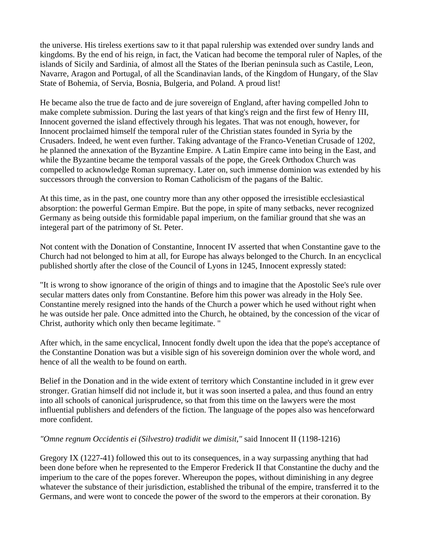the universe. His tireless exertions saw to it that papal rulership was extended over sundry lands and kingdoms. By the end of his reign, in fact, the Vatican had become the temporal ruler of Naples, of the islands of Sicily and Sardinia, of almost all the States of the Iberian peninsula such as Castile, Leon, Navarre, Aragon and Portugal, of all the Scandinavian lands, of the Kingdom of Hungary, of the Slav State of Bohemia, of Servia, Bosnia, Bulgeria, and Poland. A proud list!

He became also the true de facto and de jure sovereign of England, after having compelled John to make complete submission. During the last years of that king's reign and the first few of Henry III, Innocent governed the island effectively through his legates. That was not enough, however, for Innocent proclaimed himself the temporal ruler of the Christian states founded in Syria by the Crusaders. Indeed, he went even further. Taking advantage of the Franco-Venetian Crusade of 1202, he planned the annexation of the Byzantine Empire. A Latin Empire came into being in the East, and while the Byzantine became the temporal vassals of the pope, the Greek Orthodox Church was compelled to acknowledge Roman supremacy. Later on, such immense dominion was extended by his successors through the conversion to Roman Catholicism of the pagans of the Baltic.

At this time, as in the past, one country more than any other opposed the irresistible ecclesiastical absorption: the powerful German Empire. But the pope, in spite of many setbacks, never recognized Germany as being outside this formidable papal imperium, on the familiar ground that she was an integeral part of the patrimony of St. Peter.

Not content with the Donation of Constantine, Innocent IV asserted that when Constantine gave to the Church had not belonged to him at all, for Europe has always belonged to the Church. In an encyclical published shortly after the close of the Council of Lyons in 1245, Innocent expressly stated:

"It is wrong to show ignorance of the origin of things and to imagine that the Apostolic See's rule over secular matters dates only from Constantine. Before him this power was already in the Holy See. Constantine merely resigned into the hands of the Church a power which he used without right when he was outside her pale. Once admitted into the Church, he obtained, by the concession of the vicar of Christ, authority which only then became legitimate. "

After which, in the same encyclical, Innocent fondly dwelt upon the idea that the pope's acceptance of the Constantine Donation was but a visible sign of his sovereign dominion over the whole word, and hence of all the wealth to be found on earth.

Belief in the Donation and in the wide extent of territory which Constantine included in it grew ever stronger. Gratian himself did not include it, but it was soon inserted a palea, and thus found an entry into all schools of canonical jurisprudence, so that from this time on the lawyers were the most influential publishers and defenders of the fiction. The language of the popes also was henceforward more confident.

# *"Omne regnum Occidentis ei (Silvestro) tradidit we dimisit,"* said Innocent II (1198-1216)

Gregory IX (1227-41) followed this out to its consequences, in a way surpassing anything that had been done before when he represented to the Emperor Frederick II that Constantine the duchy and the imperium to the care of the popes forever. Whereupon the popes, without diminishing in any degree whatever the substance of their jurisdiction, established the tribunal of the empire, transferred it to the Germans, and were wont to concede the power of the sword to the emperors at their coronation. By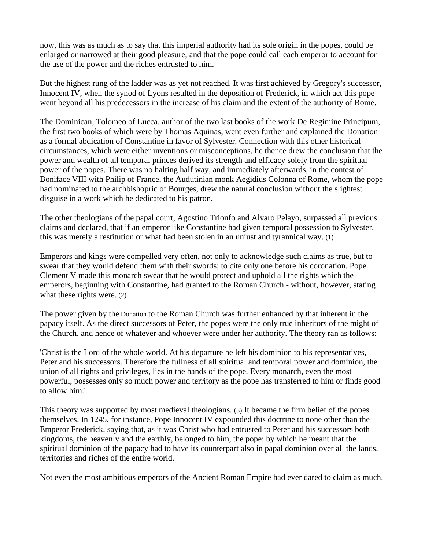now, this was as much as to say that this imperial authority had its sole origin in the popes, could be enlarged or narrowed at their good pleasure, and that the pope could call each emperor to account for the use of the power and the riches entrusted to him.

But the highest rung of the ladder was as yet not reached. It was first achieved by Gregory's successor, Innocent IV, when the synod of Lyons resulted in the deposition of Frederick, in which act this pope went beyond all his predecessors in the increase of his claim and the extent of the authority of Rome.

The Dominican, Tolomeo of Lucca, author of the two last books of the work De Regimine Principum, the first two books of which were by Thomas Aquinas, went even further and explained the Donation as a formal abdication of Constantine in favor of Sylvester. Connection with this other historical circumstances, which were either inventions or misconceptions, he thence drew the conclusion that the power and wealth of all temporal princes derived its strength and efficacy solely from the spiritual power of the popes. There was no halting half way, and immediately afterwards, in the contest of Boniface VIII with Philip of France, the Audutinian monk Aegidius Colonna of Rome, whom the pope had nominated to the archbishopric of Bourges, drew the natural conclusion without the slightest disguise in a work which he dedicated to his patron.

The other theologians of the papal court, Agostino Trionfo and Alvaro Pelayo, surpassed all previous claims and declared, that if an emperor like Constantine had given temporal possession to Sylvester, this was merely a restitution or what had been stolen in an unjust and tyrannical way. (1)

Emperors and kings were compelled very often, not only to acknowledge such claims as true, but to swear that they would defend them with their swords; to cite only one before his coronation. Pope Clement V made this monarch swear that he would protect and uphold all the rights which the emperors, beginning with Constantine, had granted to the Roman Church - without, however, stating what these rights were. (2)

The power given by the Donation to the Roman Church was further enhanced by that inherent in the papacy itself. As the direct successors of Peter, the popes were the only true inheritors of the might of the Church, and hence of whatever and whoever were under her authority. The theory ran as follows:

'Christ is the Lord of the whole world. At his departure he left his dominion to his representatives, Peter and his successors. Therefore the fullness of all spiritual and temporal power and dominion, the union of all rights and privileges, lies in the hands of the pope. Every monarch, even the most powerful, possesses only so much power and territory as the pope has transferred to him or finds good to allow him.'

This theory was supported by most medieval theologians. (3) It became the firm belief of the popes themselves. In 1245, for instance, Pope Innocent IV expounded this doctrine to none other than the Emperor Frederick, saying that, as it was Christ who had entrusted to Peter and his successors both kingdoms, the heavenly and the earthly, belonged to him, the pope: by which he meant that the spiritual dominion of the papacy had to have its counterpart also in papal dominion over all the lands, territories and riches of the entire world.

Not even the most ambitious emperors of the Ancient Roman Empire had ever dared to claim as much.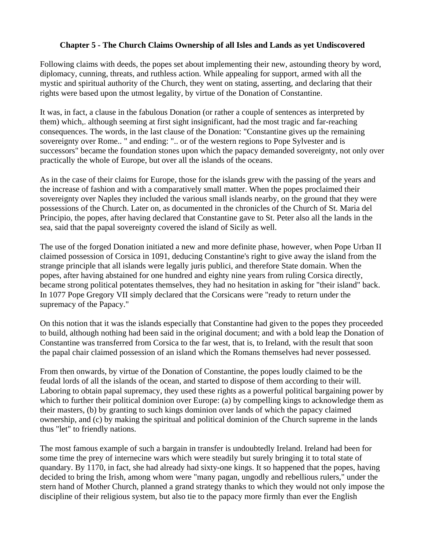# **Chapter 5 - The Church Claims Ownership of all Isles and Lands as yet Undiscovered**

Following claims with deeds, the popes set about implementing their new, astounding theory by word, diplomacy, cunning, threats, and ruthless action. While appealing for support, armed with all the mystic and spiritual authority of the Church, they went on stating, asserting, and declaring that their rights were based upon the utmost legality, by virtue of the Donation of Constantine.

It was, in fact, a clause in the fabulous Donation (or rather a couple of sentences as interpreted by them) which,. although seeming at first sight insignificant, had the most tragic and far-reaching consequences. The words, in the last clause of the Donation: "Constantine gives up the remaining sovereignty over Rome.. " and ending: ".. or of the western regions to Pope Sylvester and is successors" became the foundation stones upon which the papacy demanded sovereignty, not only over practically the whole of Europe, but over all the islands of the oceans.

As in the case of their claims for Europe, those for the islands grew with the passing of the years and the increase of fashion and with a comparatively small matter. When the popes proclaimed their sovereignty over Naples they included the various small islands nearby, on the ground that they were possessions of the Church. Later on, as documented in the chronicles of the Church of St. Maria del Principio, the popes, after having declared that Constantine gave to St. Peter also all the lands in the sea, said that the papal sovereignty covered the island of Sicily as well.

The use of the forged Donation initiated a new and more definite phase, however, when Pope Urban II claimed possession of Corsica in 1091, deducing Constantine's right to give away the island from the strange principle that all islands were legally juris publici, and therefore State domain. When the popes, after having abstained for one hundred and eighty nine years from ruling Corsica directly, became strong political potentates themselves, they had no hesitation in asking for "their island" back. In 1077 Pope Gregory VII simply declared that the Corsicans were "ready to return under the supremacy of the Papacy."

On this notion that it was the islands especially that Constantine had given to the popes they proceeded to build, although nothing had been said in the original document; and with a bold leap the Donation of Constantine was transferred from Corsica to the far west, that is, to Ireland, with the result that soon the papal chair claimed possession of an island which the Romans themselves had never possessed.

From then onwards, by virtue of the Donation of Constantine, the popes loudly claimed to be the feudal lords of all the islands of the ocean, and started to dispose of them according to their will. Laboring to obtain papal supremacy, they used these rights as a powerful political bargaining power by which to further their political dominion over Europe: (a) by compelling kings to acknowledge them as their masters, (b) by granting to such kings dominion over lands of which the papacy claimed ownership, and (c) by making the spiritual and political dominion of the Church supreme in the lands thus "let" to friendly nations.

The most famous example of such a bargain in transfer is undoubtedly Ireland. Ireland had been for some time the prey of internecine wars which were steadily but surely bringing it to total state of quandary. By 1170, in fact, she had already had sixty-one kings. It so happened that the popes, having decided to bring the Irish, among whom were "many pagan, ungodly and rebellious rulers," under the stern hand of Mother Church, planned a grand strategy thanks to which they would not only impose the discipline of their religious system, but also tie to the papacy more firmly than ever the English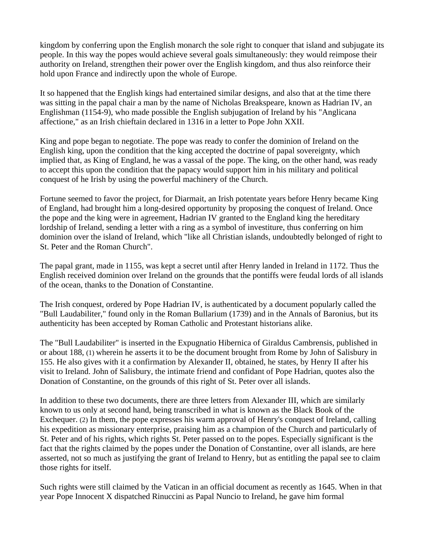kingdom by conferring upon the English monarch the sole right to conquer that island and subjugate its people. In this way the popes would achieve several goals simultaneously: they would reimpose their authority on Ireland, strengthen their power over the English kingdom, and thus also reinforce their hold upon France and indirectly upon the whole of Europe.

It so happened that the English kings had entertained similar designs, and also that at the time there was sitting in the papal chair a man by the name of Nicholas Breakspeare, known as Hadrian IV, an Englishman (1154-9), who made possible the English subjugation of Ireland by his "Anglicana affectione," as an Irish chieftain declared in 1316 in a letter to Pope John XXII.

King and pope began to negotiate. The pope was ready to confer the dominion of Ireland on the English king, upon the condition that the king accepted the doctrine of papal sovereignty, which implied that, as King of England, he was a vassal of the pope. The king, on the other hand, was ready to accept this upon the condition that the papacy would support him in his military and political conquest of he Irish by using the powerful machinery of the Church.

Fortune seemed to favor the project, for Diarmait, an Irish potentate years before Henry became King of England, had brought him a long-desired opportunity by proposing the conquest of Ireland. Once the pope and the king were in agreement, Hadrian IV granted to the England king the hereditary lordship of Ireland, sending a letter with a ring as a symbol of investiture, thus conferring on him dominion over the island of Ireland, which "like all Christian islands, undoubtedly belonged of right to St. Peter and the Roman Church".

The papal grant, made in 1155, was kept a secret until after Henry landed in Ireland in 1172. Thus the English received dominion over Ireland on the grounds that the pontiffs were feudal lords of all islands of the ocean, thanks to the Donation of Constantine.

The Irish conquest, ordered by Pope Hadrian IV, is authenticated by a document popularly called the "Bull Laudabiliter," found only in the Roman Bullarium (1739) and in the Annals of Baronius, but its authenticity has been accepted by Roman Catholic and Protestant historians alike.

The "Bull Laudabiliter" is inserted in the Expugnatio Hibernica of Giraldus Cambrensis, published in or about 188, (1) wherein he asserts it to be the document brought from Rome by John of Salisbury in 155. He also gives with it a confirmation by Alexander II, obtained, he states, by Henry II after his visit to Ireland. John of Salisbury, the intimate friend and confidant of Pope Hadrian, quotes also the Donation of Constantine, on the grounds of this right of St. Peter over all islands.

In addition to these two documents, there are three letters from Alexander III, which are similarly known to us only at second hand, being transcribed in what is known as the Black Book of the Exchequer. (2) In them, the pope expresses his warm approval of Henry's conquest of Ireland, calling his expedition as missionary enterprise, praising him as a champion of the Church and particularly of St. Peter and of his rights, which rights St. Peter passed on to the popes. Especially significant is the fact that the rights claimed by the popes under the Donation of Constantine, over all islands, are here asserted, not so much as justifying the grant of Ireland to Henry, but as entitling the papal see to claim those rights for itself.

Such rights were still claimed by the Vatican in an official document as recently as 1645. When in that year Pope Innocent X dispatched Rinuccini as Papal Nuncio to Ireland, he gave him formal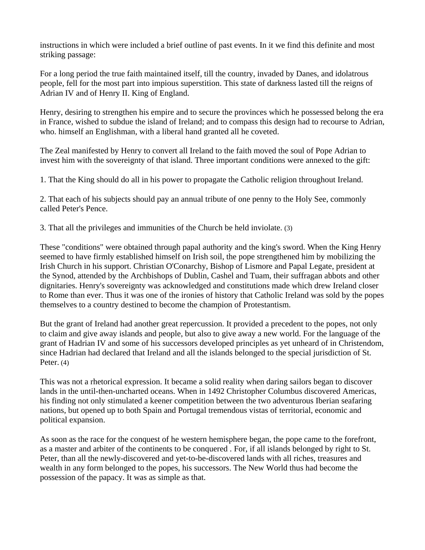instructions in which were included a brief outline of past events. In it we find this definite and most striking passage:

For a long period the true faith maintained itself, till the country, invaded by Danes, and idolatrous people, fell for the most part into impious superstition. This state of darkness lasted till the reigns of Adrian IV and of Henry II. King of England.

Henry, desiring to strengthen his empire and to secure the provinces which he possessed belong the era in France, wished to subdue the island of Ireland; and to compass this design had to recourse to Adrian, who. himself an Englishman, with a liberal hand granted all he coveted.

The Zeal manifested by Henry to convert all Ireland to the faith moved the soul of Pope Adrian to invest him with the sovereignty of that island. Three important conditions were annexed to the gift:

1. That the King should do all in his power to propagate the Catholic religion throughout Ireland.

2. That each of his subjects should pay an annual tribute of one penny to the Holy See, commonly called Peter's Pence.

3. That all the privileges and immunities of the Church be held inviolate. (3)

These "conditions" were obtained through papal authority and the king's sword. When the King Henry seemed to have firmly established himself on Irish soil, the pope strengthened him by mobilizing the Irish Church in his support. Christian O'Conarchy, Bishop of Lismore and Papal Legate, president at the Synod, attended by the Archbishops of Dublin, Cashel and Tuam, their suffragan abbots and other dignitaries. Henry's sovereignty was acknowledged and constitutions made which drew Ireland closer to Rome than ever. Thus it was one of the ironies of history that Catholic Ireland was sold by the popes themselves to a country destined to become the champion of Protestantism.

But the grant of Ireland had another great repercussion. It provided a precedent to the popes, not only to claim and give away islands and people, but also to give away a new world. For the language of the grant of Hadrian IV and some of his successors developed principles as yet unheard of in Christendom, since Hadrian had declared that Ireland and all the islands belonged to the special jurisdiction of St. Peter. (4)

This was not a rhetorical expression. It became a solid reality when daring sailors began to discover lands in the until-then-uncharted oceans. When in 1492 Christopher Columbus discovered Americas, his finding not only stimulated a keener competition between the two adventurous Iberian seafaring nations, but opened up to both Spain and Portugal tremendous vistas of territorial, economic and political expansion.

As soon as the race for the conquest of he western hemisphere began, the pope came to the forefront, as a master and arbiter of the continents to be conquered . For, if all islands belonged by right to St. Peter, than all the newly-discovered and yet-to-be-discovered lands with all riches, treasures and wealth in any form belonged to the popes, his successors. The New World thus had become the possession of the papacy. It was as simple as that.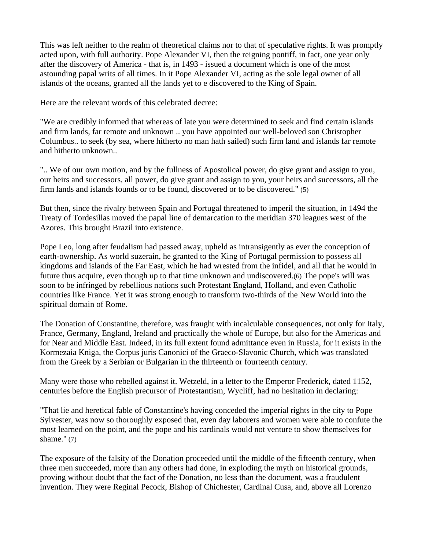This was left neither to the realm of theoretical claims nor to that of speculative rights. It was promptly acted upon, with full authority. Pope Alexander VI, then the reigning pontiff, in fact, one year only after the discovery of America - that is, in 1493 - issued a document which is one of the most astounding papal writs of all times. In it Pope Alexander VI, acting as the sole legal owner of all islands of the oceans, granted all the lands yet to e discovered to the King of Spain.

Here are the relevant words of this celebrated decree:

"We are credibly informed that whereas of late you were determined to seek and find certain islands and firm lands, far remote and unknown .. you have appointed our well-beloved son Christopher Columbus.. to seek (by sea, where hitherto no man hath sailed) such firm land and islands far remote and hitherto unknown..

".. We of our own motion, and by the fullness of Apostolical power, do give grant and assign to you, our heirs and successors, all power, do give grant and assign to you, your heirs and successors, all the firm lands and islands founds or to be found, discovered or to be discovered." (5)

But then, since the rivalry between Spain and Portugal threatened to imperil the situation, in 1494 the Treaty of Tordesillas moved the papal line of demarcation to the meridian 370 leagues west of the Azores. This brought Brazil into existence.

Pope Leo, long after feudalism had passed away, upheld as intransigently as ever the conception of earth-ownership. As world suzerain, he granted to the King of Portugal permission to possess all kingdoms and islands of the Far East, which he had wrested from the infidel, and all that he would in future thus acquire, even though up to that time unknown and undiscovered.(6) The pope's will was soon to be infringed by rebellious nations such Protestant England, Holland, and even Catholic countries like France. Yet it was strong enough to transform two-thirds of the New World into the spiritual domain of Rome.

The Donation of Constantine, therefore, was fraught with incalculable consequences, not only for Italy, France, Germany, England, Ireland and practically the whole of Europe, but also for the Americas and for Near and Middle East. Indeed, in its full extent found admittance even in Russia, for it exists in the Kormezaia Kniga, the Corpus juris Canonici of the Graeco-Slavonic Church, which was translated from the Greek by a Serbian or Bulgarian in the thirteenth or fourteenth century.

Many were those who rebelled against it. Wetzeld, in a letter to the Emperor Frederick, dated 1152, centuries before the English precursor of Protestantism, Wycliff, had no hesitation in declaring:

"That lie and heretical fable of Constantine's having conceded the imperial rights in the city to Pope Sylvester, was now so thoroughly exposed that, even day laborers and women were able to confute the most learned on the point, and the pope and his cardinals would not venture to show themselves for shame." (7)

The exposure of the falsity of the Donation proceeded until the middle of the fifteenth century, when three men succeeded, more than any others had done, in exploding the myth on historical grounds, proving without doubt that the fact of the Donation, no less than the document, was a fraudulent invention. They were Reginal Pecock, Bishop of Chichester, Cardinal Cusa, and, above all Lorenzo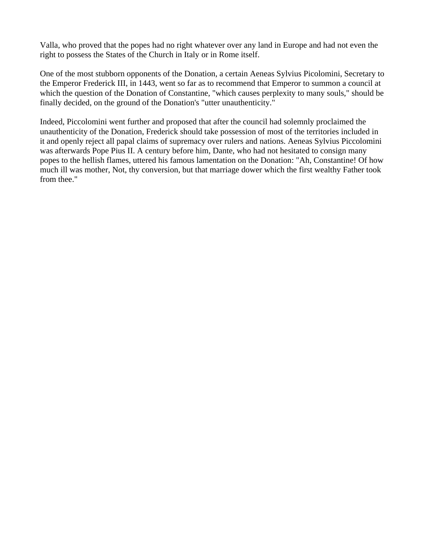Valla, who proved that the popes had no right whatever over any land in Europe and had not even the right to possess the States of the Church in Italy or in Rome itself.

One of the most stubborn opponents of the Donation, a certain Aeneas Sylvius Picolomini, Secretary to the Emperor Frederick III, in 1443, went so far as to recommend that Emperor to summon a council at which the question of the Donation of Constantine, "which causes perplexity to many souls," should be finally decided, on the ground of the Donation's "utter unauthenticity."

Indeed, Piccolomini went further and proposed that after the council had solemnly proclaimed the unauthenticity of the Donation, Frederick should take possession of most of the territories included in it and openly reject all papal claims of supremacy over rulers and nations. Aeneas Sylvius Piccolomini was afterwards Pope Pius II. A century before him, Dante, who had not hesitated to consign many popes to the hellish flames, uttered his famous lamentation on the Donation: "Ah, Constantine! Of how much ill was mother, Not, thy conversion, but that marriage dower which the first wealthy Father took from thee."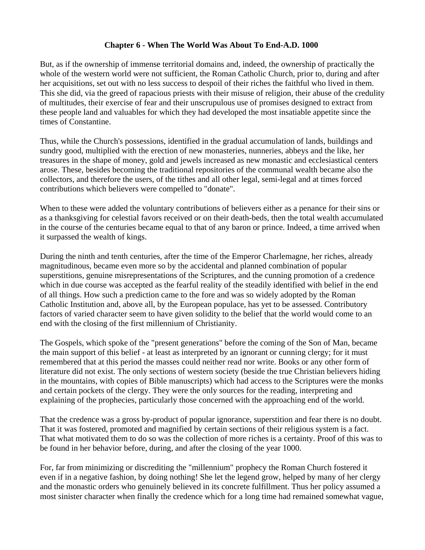# **Chapter 6 - When The World Was About To End-A.D. 1000**

But, as if the ownership of immense territorial domains and, indeed, the ownership of practically the whole of the western world were not sufficient, the Roman Catholic Church, prior to, during and after her acquisitions, set out with no less success to despoil of their riches the faithful who lived in them. This she did, via the greed of rapacious priests with their misuse of religion, their abuse of the credulity of multitudes, their exercise of fear and their unscrupulous use of promises designed to extract from these people land and valuables for which they had developed the most insatiable appetite since the times of Constantine.

Thus, while the Church's possessions, identified in the gradual accumulation of lands, buildings and sundry good, multiplied with the erection of new monasteries, nunneries, abbeys and the like, her treasures in the shape of money, gold and jewels increased as new monastic and ecclesiastical centers arose. These, besides becoming the traditional repositories of the communal wealth became also the collectors, and therefore the users, of the tithes and all other legal, semi-legal and at times forced contributions which believers were compelled to "donate".

When to these were added the voluntary contributions of believers either as a penance for their sins or as a thanksgiving for celestial favors received or on their death-beds, then the total wealth accumulated in the course of the centuries became equal to that of any baron or prince. Indeed, a time arrived when it surpassed the wealth of kings.

During the ninth and tenth centuries, after the time of the Emperor Charlemagne, her riches, already magnitudinous, became even more so by the accidental and planned combination of popular superstitions, genuine misrepresentations of the Scriptures, and the cunning promotion of a credence which in due course was accepted as the fearful reality of the steadily identified with belief in the end of all things. How such a prediction came to the fore and was so widely adopted by the Roman Catholic Institution and, above all, by the European populace, has yet to be assessed. Contributory factors of varied character seem to have given solidity to the belief that the world would come to an end with the closing of the first millennium of Christianity.

The Gospels, which spoke of the "present generations" before the coming of the Son of Man, became the main support of this belief - at least as interpreted by an ignorant or cunning clergy; for it must remembered that at this period the masses could neither read nor write. Books or any other form of literature did not exist. The only sections of western society (beside the true Christian believers hiding in the mountains, with copies of Bible manuscripts) which had access to the Scriptures were the monks and certain pockets of the clergy. They were the only sources for the reading, interpreting and explaining of the prophecies, particularly those concerned with the approaching end of the world.

That the credence was a gross by-product of popular ignorance, superstition and fear there is no doubt. That it was fostered, promoted and magnified by certain sections of their religious system is a fact. That what motivated them to do so was the collection of more riches is a certainty. Proof of this was to be found in her behavior before, during, and after the closing of the year 1000.

For, far from minimizing or discrediting the "millennium" prophecy the Roman Church fostered it even if in a negative fashion, by doing nothing! She let the legend grow, helped by many of her clergy and the monastic orders who genuinely believed in its concrete fulfillment. Thus her policy assumed a most sinister character when finally the credence which for a long time had remained somewhat vague,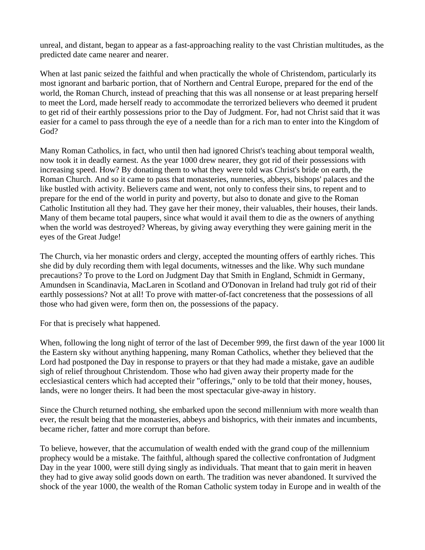unreal, and distant, began to appear as a fast-approaching reality to the vast Christian multitudes, as the predicted date came nearer and nearer.

When at last panic seized the faithful and when practically the whole of Christendom, particularly its most ignorant and barbaric portion, that of Northern and Central Europe, prepared for the end of the world, the Roman Church, instead of preaching that this was all nonsense or at least preparing herself to meet the Lord, made herself ready to accommodate the terrorized believers who deemed it prudent to get rid of their earthly possessions prior to the Day of Judgment. For, had not Christ said that it was easier for a camel to pass through the eye of a needle than for a rich man to enter into the Kingdom of God?

Many Roman Catholics, in fact, who until then had ignored Christ's teaching about temporal wealth, now took it in deadly earnest. As the year 1000 drew nearer, they got rid of their possessions with increasing speed. How? By donating them to what they were told was Christ's bride on earth, the Roman Church. And so it came to pass that monasteries, nunneries, abbeys, bishops' palaces and the like bustled with activity. Believers came and went, not only to confess their sins, to repent and to prepare for the end of the world in purity and poverty, but also to donate and give to the Roman Catholic Institution all they had. They gave her their money, their valuables, their houses, their lands. Many of them became total paupers, since what would it avail them to die as the owners of anything when the world was destroyed? Whereas, by giving away everything they were gaining merit in the eyes of the Great Judge!

The Church, via her monastic orders and clergy, accepted the mounting offers of earthly riches. This she did by duly recording them with legal documents, witnesses and the like. Why such mundane precautions? To prove to the Lord on Judgment Day that Smith in England, Schmidt in Germany, Amundsen in Scandinavia, MacLaren in Scotland and O'Donovan in Ireland had truly got rid of their earthly possessions? Not at all! To prove with matter-of-fact concreteness that the possessions of all those who had given were, form then on, the possessions of the papacy.

For that is precisely what happened.

When, following the long night of terror of the last of December 999, the first dawn of the year 1000 lit the Eastern sky without anything happening, many Roman Catholics, whether they believed that the Lord had postponed the Day in response to prayers or that they had made a mistake, gave an audible sigh of relief throughout Christendom. Those who had given away their property made for the ecclesiastical centers which had accepted their "offerings," only to be told that their money, houses, lands, were no longer theirs. It had been the most spectacular give-away in history.

Since the Church returned nothing, she embarked upon the second millennium with more wealth than ever, the result being that the monasteries, abbeys and bishoprics, with their inmates and incumbents, became richer, fatter and more corrupt than before.

To believe, however, that the accumulation of wealth ended with the grand coup of the millennium prophecy would be a mistake. The faithful, although spared the collective confrontation of Judgment Day in the year 1000, were still dying singly as individuals. That meant that to gain merit in heaven they had to give away solid goods down on earth. The tradition was never abandoned. It survived the shock of the year 1000, the wealth of the Roman Catholic system today in Europe and in wealth of the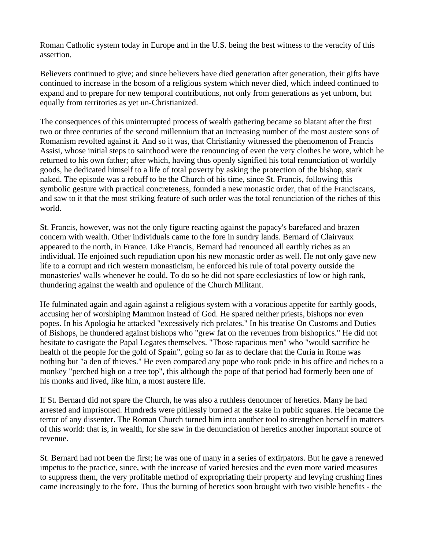Roman Catholic system today in Europe and in the U.S. being the best witness to the veracity of this assertion.

Believers continued to give; and since believers have died generation after generation, their gifts have continued to increase in the bosom of a religious system which never died, which indeed continued to expand and to prepare for new temporal contributions, not only from generations as yet unborn, but equally from territories as yet un-Christianized.

The consequences of this uninterrupted process of wealth gathering became so blatant after the first two or three centuries of the second millennium that an increasing number of the most austere sons of Romanism revolted against it. And so it was, that Christianity witnessed the phenomenon of Francis Assisi, whose initial steps to sainthood were the renouncing of even the very clothes he wore, which he returned to his own father; after which, having thus openly signified his total renunciation of worldly goods, he dedicated himself to a life of total poverty by asking the protection of the bishop, stark naked. The episode was a rebuff to be the Church of his time, since St. Francis, following this symbolic gesture with practical concreteness, founded a new monastic order, that of the Franciscans, and saw to it that the most striking feature of such order was the total renunciation of the riches of this world.

St. Francis, however, was not the only figure reacting against the papacy's barefaced and brazen concern with wealth. Other individuals came to the fore in sundry lands. Bernard of Clairvaux appeared to the north, in France. Like Francis, Bernard had renounced all earthly riches as an individual. He enjoined such repudiation upon his new monastic order as well. He not only gave new life to a corrupt and rich western monasticism, he enforced his rule of total poverty outside the monasteries' walls whenever he could. To do so he did not spare ecclesiastics of low or high rank, thundering against the wealth and opulence of the Church Militant.

He fulminated again and again against a religious system with a voracious appetite for earthly goods, accusing her of worshiping Mammon instead of God. He spared neither priests, bishops nor even popes. In his Apologia he attacked "excessively rich prelates." In his treatise On Customs and Duties of Bishops, he thundered against bishops who "grew fat on the revenues from bishoprics." He did not hesitate to castigate the Papal Legates themselves. "Those rapacious men" who "would sacrifice he health of the people for the gold of Spain", going so far as to declare that the Curia in Rome was nothing but "a den of thieves." He even compared any pope who took pride in his office and riches to a monkey "perched high on a tree top", this although the pope of that period had formerly been one of his monks and lived, like him, a most austere life.

If St. Bernard did not spare the Church, he was also a ruthless denouncer of heretics. Many he had arrested and imprisoned. Hundreds were pitilessly burned at the stake in public squares. He became the terror of any dissenter. The Roman Church turned him into another tool to strengthen herself in matters of this world: that is, in wealth, for she saw in the denunciation of heretics another important source of revenue.

St. Bernard had not been the first; he was one of many in a series of extirpators. But he gave a renewed impetus to the practice, since, with the increase of varied heresies and the even more varied measures to suppress them, the very profitable method of expropriating their property and levying crushing fines came increasingly to the fore. Thus the burning of heretics soon brought with two visible benefits - the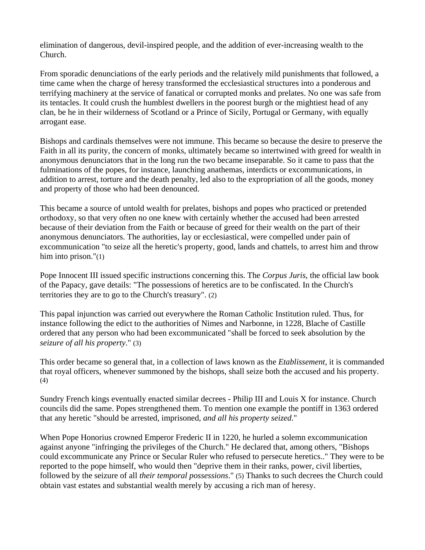elimination of dangerous, devil-inspired people, and the addition of ever-increasing wealth to the Church.

From sporadic denunciations of the early periods and the relatively mild punishments that followed, a time came when the charge of heresy transformed the ecclesiastical structures into a ponderous and terrifying machinery at the service of fanatical or corrupted monks and prelates. No one was safe from its tentacles. It could crush the humblest dwellers in the poorest burgh or the mightiest head of any clan, be he in their wilderness of Scotland or a Prince of Sicily, Portugal or Germany, with equally arrogant ease.

Bishops and cardinals themselves were not immune. This became so because the desire to preserve the Faith in all its purity, the concern of monks, ultimately became so intertwined with greed for wealth in anonymous denunciators that in the long run the two became inseparable. So it came to pass that the fulminations of the popes, for instance, launching anathemas, interdicts or excommunications, in addition to arrest, torture and the death penalty, led also to the expropriation of all the goods, money and property of those who had been denounced.

This became a source of untold wealth for prelates, bishops and popes who practiced or pretended orthodoxy, so that very often no one knew with certainly whether the accused had been arrested because of their deviation from the Faith or because of greed for their wealth on the part of their anonymous denunciators. The authorities, lay or ecclesiastical, were compelled under pain of excommunication "to seize all the heretic's property, good, lands and chattels, to arrest him and throw him into prison."(1)

Pope Innocent III issued specific instructions concerning this. The *Corpus Juris*, the official law book of the Papacy, gave details: "The possessions of heretics are to be confiscated. In the Church's territories they are to go to the Church's treasury". (2)

This papal injunction was carried out everywhere the Roman Catholic Institution ruled. Thus, for instance following the edict to the authorities of Nimes and Narbonne, in 1228, Blache of Castille ordered that any person who had been excommunicated "shall be forced to seek absolution by the *seizure of all his property*." (3)

This order became so general that, in a collection of laws known as the *Etablissement*, it is commanded that royal officers, whenever summoned by the bishops, shall seize both the accused and his property. (4)

Sundry French kings eventually enacted similar decrees - Philip III and Louis X for instance. Church councils did the same. Popes strengthened them. To mention one example the pontiff in 1363 ordered that any heretic "should be arrested, imprisoned, *and all his property seized*."

When Pope Honorius crowned Emperor Frederic II in 1220, he hurled a solemn excommunication against anyone "infringing the privileges of the Church." He declared that, among others, "Bishops could excommunicate any Prince or Secular Ruler who refused to persecute heretics.." They were to be reported to the pope himself, who would then "deprive them in their ranks, power, civil liberties, followed by the seizure of all *their temporal possessions*." (5) Thanks to such decrees the Church could obtain vast estates and substantial wealth merely by accusing a rich man of heresy.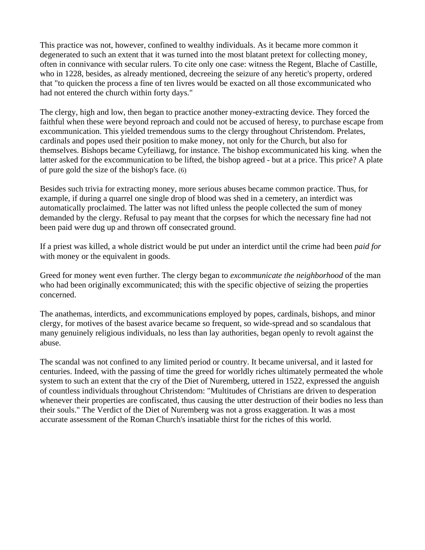This practice was not, however, confined to wealthy individuals. As it became more common it degenerated to such an extent that it was turned into the most blatant pretext for collecting money, often in connivance with secular rulers. To cite only one case: witness the Regent, Blache of Castille, who in 1228, besides, as already mentioned, decreeing the seizure of any heretic's property, ordered that "to quicken the process a fine of ten livres would be exacted on all those excommunicated who had not entered the church within forty days."

The clergy, high and low, then began to practice another money-extracting device. They forced the faithful when these were beyond reproach and could not be accused of heresy, to purchase escape from excommunication. This yielded tremendous sums to the clergy throughout Christendom. Prelates, cardinals and popes used their position to make money, not only for the Church, but also for themselves. Bishops became Cyfeiliawg, for instance. The bishop excommunicated his king. when the latter asked for the excommunication to be lifted, the bishop agreed - but at a price. This price? A plate of pure gold the size of the bishop's face. (6)

Besides such trivia for extracting money, more serious abuses became common practice. Thus, for example, if during a quarrel one single drop of blood was shed in a cemetery, an interdict was automatically proclaimed. The latter was not lifted unless the people collected the sum of money demanded by the clergy. Refusal to pay meant that the corpses for which the necessary fine had not been paid were dug up and thrown off consecrated ground.

If a priest was killed, a whole district would be put under an interdict until the crime had been *paid for* with money or the equivalent in goods.

Greed for money went even further. The clergy began to *excommunicate the neighborhood* of the man who had been originally excommunicated; this with the specific objective of seizing the properties concerned.

The anathemas, interdicts, and excommunications employed by popes, cardinals, bishops, and minor clergy, for motives of the basest avarice became so frequent, so wide-spread and so scandalous that many genuinely religious individuals, no less than lay authorities, began openly to revolt against the abuse.

The scandal was not confined to any limited period or country. It became universal, and it lasted for centuries. Indeed, with the passing of time the greed for worldly riches ultimately permeated the whole system to such an extent that the cry of the Diet of Nuremberg, uttered in 1522, expressed the anguish of countless individuals throughout Christendom: "Multitudes of Christians are driven to desperation whenever their properties are confiscated, thus causing the utter destruction of their bodies no less than their souls." The Verdict of the Diet of Nuremberg was not a gross exaggeration. It was a most accurate assessment of the Roman Church's insatiable thirst for the riches of this world.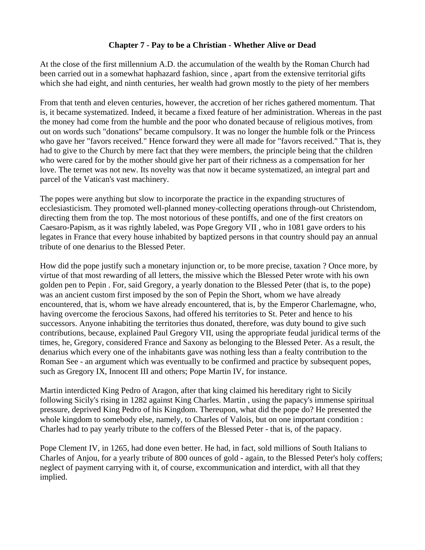# **Chapter 7 - Pay to be a Christian - Whether Alive or Dead**

At the close of the first millennium A.D. the accumulation of the wealth by the Roman Church had been carried out in a somewhat haphazard fashion, since , apart from the extensive territorial gifts which she had eight, and ninth centuries, her wealth had grown mostly to the piety of her members

From that tenth and eleven centuries, however, the accretion of her riches gathered momentum. That is, it became systematized. Indeed, it became a fixed feature of her administration. Whereas in the past the money had come from the humble and the poor who donated because of religious motives, from out on words such "donations" became compulsory. It was no longer the humble folk or the Princess who gave her "favors received." Hence forward they were all made for "favors received." That is, they had to give to the Church by mere fact that they were members, the principle being that the children who were cared for by the mother should give her part of their richness as a compensation for her love. The ternet was not new. Its novelty was that now it became systematized, an integral part and parcel of the Vatican's vast machinery.

The popes were anything but slow to incorporate the practice in the expanding structures of ecclesiasticism. They promoted well-planned money-collecting operations through-out Christendom, directing them from the top. The most notorious of these pontiffs, and one of the first creators on Caesaro-Papism, as it was rightly labeled, was Pope Gregory VII , who in 1081 gave orders to his legates in France that every house inhabited by baptized persons in that country should pay an annual tribute of one denarius to the Blessed Peter.

How did the pope justify such a monetary injunction or, to be more precise, taxation ? Once more, by virtue of that most rewarding of all letters, the missive which the Blessed Peter wrote with his own golden pen to Pepin . For, said Gregory, a yearly donation to the Blessed Peter (that is, to the pope) was an ancient custom first imposed by the son of Pepin the Short, whom we have already encountered, that is, whom we have already encountered, that is, by the Emperor Charlemagne, who, having overcome the ferocious Saxons, had offered his territories to St. Peter and hence to his successors. Anyone inhabiting the territories thus donated, therefore, was duty bound to give such contributions, because, explained Paul Gregory VII, using the appropriate feudal juridical terms of the times, he, Gregory, considered France and Saxony as belonging to the Blessed Peter. As a result, the denarius which every one of the inhabitants gave was nothing less than a fealty contribution to the Roman See - an argument which was eventually to be confirmed and practice by subsequent popes, such as Gregory IX, Innocent III and others; Pope Martin IV, for instance.

Martin interdicted King Pedro of Aragon, after that king claimed his hereditary right to Sicily following Sicily's rising in 1282 against King Charles. Martin , using the papacy's immense spiritual pressure, deprived King Pedro of his Kingdom. Thereupon, what did the pope do? He presented the whole kingdom to somebody else, namely, to Charles of Valois, but on one important condition : Charles had to pay yearly tribute to the coffers of the Blessed Peter - that is, of the papacy.

Pope Clement IV, in 1265, had done even better. He had, in fact, sold millions of South Italians to Charles of Anjou, for a yearly tribute of 800 ounces of gold - again, to the Blessed Peter's holy coffers; neglect of payment carrying with it, of course, excommunication and interdict, with all that they implied.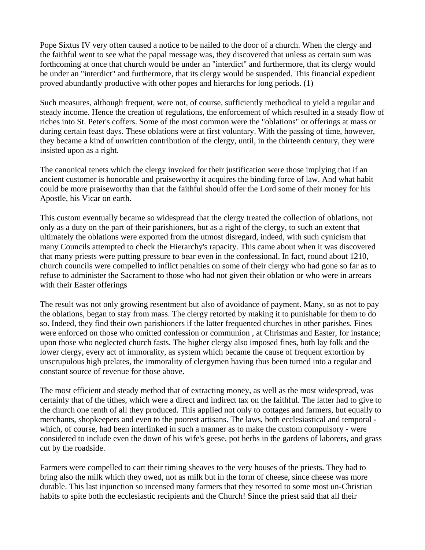Pope Sixtus IV very often caused a notice to be nailed to the door of a church. When the clergy and the faithful went to see what the papal message was, they discovered that unless as certain sum was forthcoming at once that church would be under an "interdict" and furthermore, that its clergy would be under an "interdict" and furthermore, that its clergy would be suspended. This financial expedient proved abundantly productive with other popes and hierarchs for long periods. (1)

Such measures, although frequent, were not, of course, sufficiently methodical to yield a regular and steady income. Hence the creation of regulations, the enforcement of which resulted in a steady flow of riches into St. Peter's coffers. Some of the most common were the "oblations" or offerings at mass or during certain feast days. These oblations were at first voluntary. With the passing of time, however, they became a kind of unwritten contribution of the clergy, until, in the thirteenth century, they were insisted upon as a right.

The canonical tenets which the clergy invoked for their justification were those implying that if an ancient customer is honorable and praiseworthy it acquires the binding force of law. And what habit could be more praiseworthy than that the faithful should offer the Lord some of their money for his Apostle, his Vicar on earth.

This custom eventually became so widespread that the clergy treated the collection of oblations, not only as a duty on the part of their parishioners, but as a right of the clergy, to such an extent that ultimately the oblations were exported from the utmost disregard, indeed, with such cynicism that many Councils attempted to check the Hierarchy's rapacity. This came about when it was discovered that many priests were putting pressure to bear even in the confessional. In fact, round about 1210, church councils were compelled to inflict penalties on some of their clergy who had gone so far as to refuse to administer the Sacrament to those who had not given their oblation or who were in arrears with their Easter offerings

The result was not only growing resentment but also of avoidance of payment. Many, so as not to pay the oblations, began to stay from mass. The clergy retorted by making it to punishable for them to do so. Indeed, they find their own parishioners if the latter frequented churches in other parishes. Fines were enforced on those who omitted confession or communion , at Christmas and Easter, for instance; upon those who neglected church fasts. The higher clergy also imposed fines, both lay folk and the lower clergy, every act of immorality, as system which became the cause of frequent extortion by unscrupulous high prelates, the immorality of clergymen having thus been turned into a regular and constant source of revenue for those above.

The most efficient and steady method that of extracting money, as well as the most widespread, was certainly that of the tithes, which were a direct and indirect tax on the faithful. The latter had to give to the church one tenth of all they produced. This applied not only to cottages and farmers, but equally to merchants, shopkeepers and even to the poorest artisans. The laws, both ecclesiastical and temporal which, of course, had been interlinked in such a manner as to make the custom compulsory - were considered to include even the down of his wife's geese, pot herbs in the gardens of laborers, and grass cut by the roadside.

Farmers were compelled to cart their timing sheaves to the very houses of the priests. They had to bring also the milk which they owed, not as milk but in the form of cheese, since cheese was more durable. This last injunction so incensed many farmers that they resorted to some most un-Christian habits to spite both the ecclesiastic recipients and the Church! Since the priest said that all their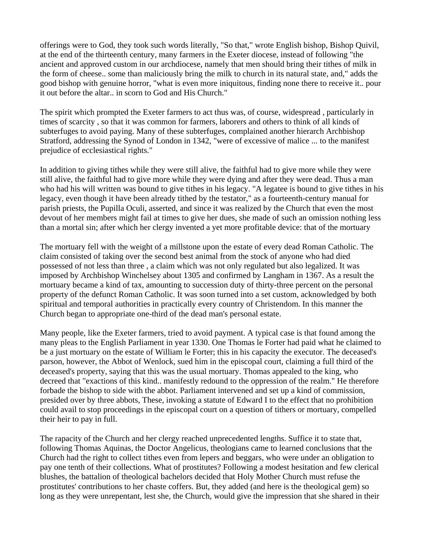offerings were to God, they took such words literally, "So that," wrote English bishop, Bishop Quivil, at the end of the thirteenth century, many farmers in the Exeter diocese, instead of following "the ancient and approved custom in our archdiocese, namely that men should bring their tithes of milk in the form of cheese.. some than maliciously bring the milk to church in its natural state, and," adds the good bishop with genuine horror, "what is even more iniquitous, finding none there to receive it.. pour it out before the altar.. in scorn to God and His Church."

The spirit which prompted the Exeter farmers to act thus was, of course, widespread , particularly in times of scarcity , so that it was common for farmers, laborers and others to think of all kinds of subterfuges to avoid paying. Many of these subterfuges, complained another hierarch Archbishop Stratford, addressing the Synod of London in 1342, "were of excessive of malice ... to the manifest prejudice of ecclesiastical rights."

In addition to giving tithes while they were still alive, the faithful had to give more while they were still alive, the faithful had to give more while they were dying and after they were dead. Thus a man who had his will written was bound to give tithes in his legacy. "A legatee is bound to give tithes in his legacy, even though it have been already tithed by the testator," as a fourteenth-century manual for parish priests, the Pupilla Oculi, asserted, and since it was realized by the Church that even the most devout of her members might fail at times to give her dues, she made of such an omission nothing less than a mortal sin; after which her clergy invented a yet more profitable device: that of the mortuary

The mortuary fell with the weight of a millstone upon the estate of every dead Roman Catholic. The claim consisted of taking over the second best animal from the stock of anyone who had died possessed of not less than three , a claim which was not only regulated but also legalized. It was imposed by Archbishop Winchelsey about 1305 and confirmed by Langham in 1367. As a result the mortuary became a kind of tax, amounting to succession duty of thirty-three percent on the personal property of the defunct Roman Catholic. It was soon turned into a set custom, acknowledged by both spiritual and temporal authorities in practically every country of Christendom. In this manner the Church began to appropriate one-third of the dead man's personal estate.

Many people, like the Exeter farmers, tried to avoid payment. A typical case is that found among the many pleas to the English Parliament in year 1330. One Thomas le Forter had paid what he claimed to be a just mortuary on the estate of William le Forter; this in his capacity the executor. The deceased's parson, however, the Abbot of Wenlock, sued him in the episcopal court, claiming a full third of the deceased's property, saying that this was the usual mortuary. Thomas appealed to the king, who decreed that "exactions of this kind.. manifestly redound to the oppression of the realm." He therefore forbade the bishop to side with the abbot. Parliament intervened and set up a kind of commission, presided over by three abbots, These, invoking a statute of Edward I to the effect that no prohibition could avail to stop proceedings in the episcopal court on a question of tithers or mortuary, compelled their heir to pay in full.

The rapacity of the Church and her clergy reached unprecedented lengths. Suffice it to state that, following Thomas Aquinas, the Doctor Angelicus, theologians came to learned conclusions that the Church had the right to collect tithes even from lepers and beggars, who were under an obligation to pay one tenth of their collections. What of prostitutes? Following a modest hesitation and few clerical blushes, the battalion of theological bachelors decided that Holy Mother Church must refuse the prostitutes' contributions to her chaste coffers. But, they added (and here is the theological gem) so long as they were unrepentant, lest she, the Church, would give the impression that she shared in their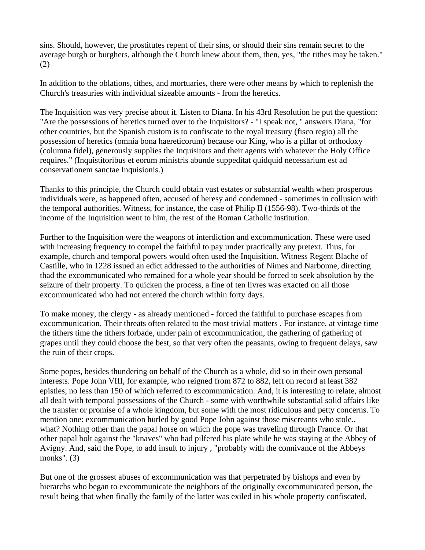sins. Should, however, the prostitutes repent of their sins, or should their sins remain secret to the average burgh or burghers, although the Church knew about them, then, yes, "the tithes may be taken." (2)

In addition to the oblations, tithes, and mortuaries, there were other means by which to replenish the Church's treasuries with individual sizeable amounts - from the heretics.

The Inquisition was very precise about it. Listen to Diana. In his 43rd Resolution he put the question: "Are the possessions of heretics turned over to the Inquisitors? - "I speak not, " answers Diana, "for other countries, but the Spanish custom is to confiscate to the royal treasury (fisco regio) all the possession of heretics (omnia bona haereticorum) because our King, who is a pillar of orthodoxy (columna fidel), generously supplies the Inquisitors and their agents with whatever the Holy Office requires." (Inquistitoribus et eorum ministris abunde suppeditat quidquid necessarium est ad conservationem sanctae Inquisionis.)

Thanks to this principle, the Church could obtain vast estates or substantial wealth when prosperous individuals were, as happened often, accused of heresy and condemned - sometimes in collusion with the temporal authorities. Witness, for instance, the case of Philip II (1556-98). Two-thirds of the income of the Inquisition went to him, the rest of the Roman Catholic institution.

Further to the Inquisition were the weapons of interdiction and excommunication. These were used with increasing frequency to compel the faithful to pay under practically any pretext. Thus, for example, church and temporal powers would often used the Inquisition. Witness Regent Blache of Castille, who in 1228 issued an edict addressed to the authorities of Nimes and Narbonne, directing thad the excommunicated who remained for a whole year should be forced to seek absolution by the seizure of their property. To quicken the process, a fine of ten livres was exacted on all those excommunicated who had not entered the church within forty days.

To make money, the clergy - as already mentioned - forced the faithful to purchase escapes from excommunication. Their threats often related to the most trivial matters . For instance, at vintage time the tithers time the tithers forbade, under pain of excommunication, the gathering of gathering of grapes until they could choose the best, so that very often the peasants, owing to frequent delays, saw the ruin of their crops.

Some popes, besides thundering on behalf of the Church as a whole, did so in their own personal interests. Pope John VIII, for example, who reigned from 872 to 882, left on record at least 382 epistles, no less than 150 of which referred to excommunication. And, it is interesting to relate, almost all dealt with temporal possessions of the Church - some with worthwhile substantial solid affairs like the transfer or promise of a whole kingdom, but some with the most ridiculous and petty concerns. To mention one: excommunication hurled by good Pope John against those miscreants who stole.. what? Nothing other than the papal horse on which the pope was traveling through France. Or that other papal bolt against the "knaves" who had pilfered his plate while he was staying at the Abbey of Avigny. And, said the Pope, to add insult to injury , "probably with the connivance of the Abbeys monks". (3)

But one of the grossest abuses of excommunication was that perpetrated by bishops and even by hierarchs who began to excommunicate the neighbors of the originally excommunicated person, the result being that when finally the family of the latter was exiled in his whole property confiscated,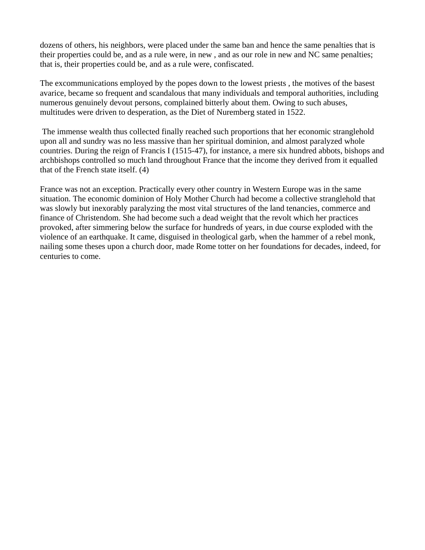dozens of others, his neighbors, were placed under the same ban and hence the same penalties that is their properties could be, and as a rule were, in new , and as our role in new and NC same penalties; that is, their properties could be, and as a rule were, confiscated.

The excommunications employed by the popes down to the lowest priests , the motives of the basest avarice, became so frequent and scandalous that many individuals and temporal authorities, including numerous genuinely devout persons, complained bitterly about them. Owing to such abuses, multitudes were driven to desperation, as the Diet of Nuremberg stated in 1522.

 The immense wealth thus collected finally reached such proportions that her economic stranglehold upon all and sundry was no less massive than her spiritual dominion, and almost paralyzed whole countries. During the reign of Francis I (1515-47), for instance, a mere six hundred abbots, bishops and archbishops controlled so much land throughout France that the income they derived from it equalled that of the French state itself. (4)

France was not an exception. Practically every other country in Western Europe was in the same situation. The economic dominion of Holy Mother Church had become a collective stranglehold that was slowly but inexorably paralyzing the most vital structures of the land tenancies, commerce and finance of Christendom. She had become such a dead weight that the revolt which her practices provoked, after simmering below the surface for hundreds of years, in due course exploded with the violence of an earthquake. It came, disguised in theological garb, when the hammer of a rebel monk, nailing some theses upon a church door, made Rome totter on her foundations for decades, indeed, for centuries to come.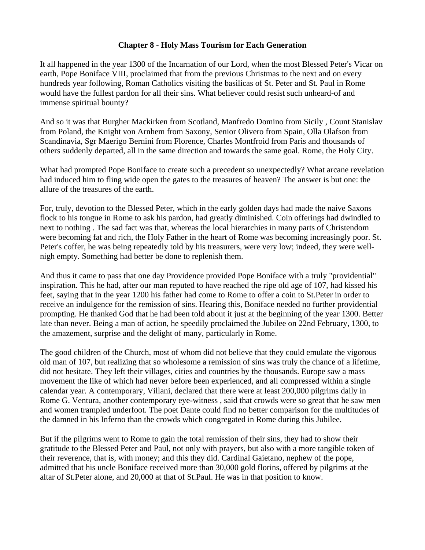### **Chapter 8 - Holy Mass Tourism for Each Generation**

It all happened in the year 1300 of the Incarnation of our Lord, when the most Blessed Peter's Vicar on earth, Pope Boniface VIII, proclaimed that from the previous Christmas to the next and on every hundreds year following, Roman Catholics visiting the basilicas of St. Peter and St. Paul in Rome would have the fullest pardon for all their sins. What believer could resist such unheard-of and immense spiritual bounty?

And so it was that Burgher Mackirken from Scotland, Manfredo Domino from Sicily , Count Stanislav from Poland, the Knight von Arnhem from Saxony, Senior Olivero from Spain, Olla Olafson from Scandinavia, Sgr Maerigo Bernini from Florence, Charles Montfroid from Paris and thousands of others suddenly departed, all in the same direction and towards the same goal. Rome, the Holy City.

What had prompted Pope Boniface to create such a precedent so unexpectedly? What arcane revelation had induced him to fling wide open the gates to the treasures of heaven? The answer is but one: the allure of the treasures of the earth.

For, truly, devotion to the Blessed Peter, which in the early golden days had made the naive Saxons flock to his tongue in Rome to ask his pardon, had greatly diminished. Coin offerings had dwindled to next to nothing . The sad fact was that, whereas the local hierarchies in many parts of Christendom were becoming fat and rich, the Holy Father in the heart of Rome was becoming increasingly poor. St. Peter's coffer, he was being repeatedly told by his treasurers, were very low; indeed, they were wellnigh empty. Something had better be done to replenish them.

And thus it came to pass that one day Providence provided Pope Boniface with a truly "providential" inspiration. This he had, after our man reputed to have reached the ripe old age of 107, had kissed his feet, saying that in the year 1200 his father had come to Rome to offer a coin to St.Peter in order to receive an indulgence for the remission of sins. Hearing this, Boniface needed no further providential prompting. He thanked God that he had been told about it just at the beginning of the year 1300. Better late than never. Being a man of action, he speedily proclaimed the Jubilee on 22nd February, 1300, to the amazement, surprise and the delight of many, particularly in Rome.

The good children of the Church, most of whom did not believe that they could emulate the vigorous old man of 107, but realizing that so wholesome a remission of sins was truly the chance of a lifetime, did not hesitate. They left their villages, cities and countries by the thousands. Europe saw a mass movement the like of which had never before been experienced, and all compressed within a single calendar year. A contemporary, Villani, declared that there were at least 200,000 pilgrims daily in Rome G. Ventura, another contemporary eye-witness , said that crowds were so great that he saw men and women trampled underfoot. The poet Dante could find no better comparison for the multitudes of the damned in his Inferno than the crowds which congregated in Rome during this Jubilee.

But if the pilgrims went to Rome to gain the total remission of their sins, they had to show their gratitude to the Blessed Peter and Paul, not only with prayers, but also with a more tangible token of their reverence, that is, with money; and this they did. Cardinal Gaietano, nephew of the pope, admitted that his uncle Boniface received more than 30,000 gold florins, offered by pilgrims at the altar of St.Peter alone, and 20,000 at that of St.Paul. He was in that position to know.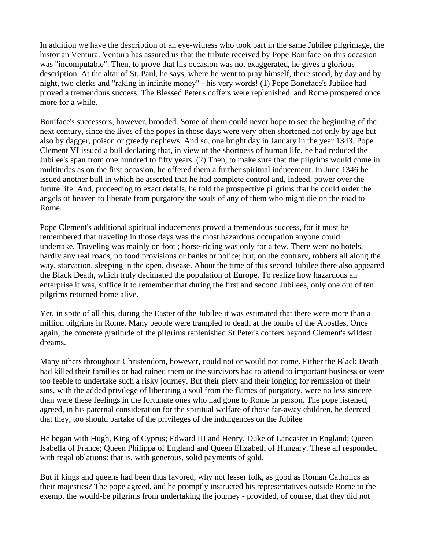In addition we have the description of an eye-witness who took part in the same Jubilee pilgrimage, the historian Ventura. Ventura has assured us that the tribute received by Pope Boniface on this occasion was "incomputable". Then, to prove that his occasion was not exaggerated, he gives a glorious description. At the altar of St. Paul, he says, where he went to pray himself, there stood, by day and by night, two clerks and "raking in infinite money" - his very words! (1) Pope Boneface's Jubilee had proved a tremendous success. The Blessed Peter's coffers were replenished, and Rome prospered once more for a while.

Boniface's successors, however, brooded. Some of them could never hope to see the beginning of the next century, since the lives of the popes in those days were very often shortened not only by age but also by dagger, poison or greedy nephews. And so, one bright day in January in the year 1343, Pope Clement VI issued a bull declaring that, in view of the shortness of human life, he had reduced the Jubilee's span from one hundred to fifty years. (2) Then, to make sure that the pilgrims would come in multitudes as on the first occasion, he offered them a further spiritual inducement. In June 1346 he issued another bull in which he asserted that he had complete control and, indeed, power over the future life. And, proceeding to exact details, he told the prospective pilgrims that he could order the angels of heaven to liberate from purgatory the souls of any of them who might die on the road to Rome.

Pope Clement's additional spiritual inducements proved a tremendous success, for it must be remembered that traveling in those days was the most hazardous occupation anyone could undertake. Traveling was mainly on foot ; horse-riding was only for a few. There were no hotels, hardly any real roads, no food provisions or banks or police; but, on the contrary, robbers all along the way, starvation, sleeping in the open, disease. About the time of this second Jubilee there also appeared the Black Death, which truly decimated the population of Europe. To realize how hazardous an enterprise it was, suffice it to remember that during the first and second Jubilees, only one out of ten pilgrims returned home alive.

Yet, in spite of all this, during the Easter of the Jubilee it was estimated that there were more than a million pilgrims in Rome. Many people were trampled to death at the tombs of the Apostles, Once again, the concrete gratitude of the pilgrims replenished St.Peter's coffers beyond Clement's wildest dreams.

Many others throughout Christendom, however, could not or would not come. Either the Black Death had killed their families or had ruined them or the survivors had to attend to important business or were too feeble to undertake such a risky journey. But their piety and their longing for remission of their sins, with the added privilege of liberating a soul from the flames of purgatory, were no less sincere than were these feelings in the fortunate ones who had gone to Rome in person. The pope listened, agreed, in his paternal consideration for the spiritual welfare of those far-away children, he decreed that they, too should partake of the privileges of the indulgences on the Jubilee

He began with Hugh, King of Cyprus; Edward III and Henry, Duke of Lancaster in England; Queen Isabella of France; Queen Philippa of England and Queen Elizabeth of Hungary. These all responded with regal oblations: that is, with generous, solid payments of gold.

But if kings and queens had been thus favored, why not lesser folk, as good as Roman Catholics as their majesties? The pope agreed, and he promptly instructed his representatives outside Rome to the exempt the would-be pilgrims from undertaking the journey - provided, of course, that they did not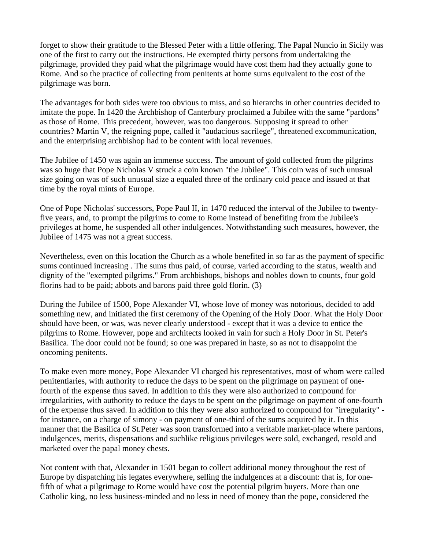forget to show their gratitude to the Blessed Peter with a little offering. The Papal Nuncio in Sicily was one of the first to carry out the instructions. He exempted thirty persons from undertaking the pilgrimage, provided they paid what the pilgrimage would have cost them had they actually gone to Rome. And so the practice of collecting from penitents at home sums equivalent to the cost of the pilgrimage was born.

The advantages for both sides were too obvious to miss, and so hierarchs in other countries decided to imitate the pope. In 1420 the Archbishop of Canterbury proclaimed a Jubilee with the same "pardons" as those of Rome. This precedent, however, was too dangerous. Supposing it spread to other countries? Martin V, the reigning pope, called it "audacious sacrilege", threatened excommunication, and the enterprising archbishop had to be content with local revenues.

The Jubilee of 1450 was again an immense success. The amount of gold collected from the pilgrims was so huge that Pope Nicholas V struck a coin known "the Jubilee". This coin was of such unusual size going on was of such unusual size a equaled three of the ordinary cold peace and issued at that time by the royal mints of Europe.

One of Pope Nicholas' successors, Pope Paul II, in 1470 reduced the interval of the Jubilee to twentyfive years, and, to prompt the pilgrims to come to Rome instead of benefiting from the Jubilee's privileges at home, he suspended all other indulgences. Notwithstanding such measures, however, the Jubilee of 1475 was not a great success.

Nevertheless, even on this location the Church as a whole benefited in so far as the payment of specific sums continued increasing . The sums thus paid, of course, varied according to the status, wealth and dignity of the "exempted pilgrims." From archbishops, bishops and nobles down to counts, four gold florins had to be paid; abbots and barons paid three gold florin. (3)

During the Jubilee of 1500, Pope Alexander VI, whose love of money was notorious, decided to add something new, and initiated the first ceremony of the Opening of the Holy Door. What the Holy Door should have been, or was, was never clearly understood - except that it was a device to entice the pilgrims to Rome. However, pope and architects looked in vain for such a Holy Door in St. Peter's Basilica. The door could not be found; so one was prepared in haste, so as not to disappoint the oncoming penitents.

To make even more money, Pope Alexander VI charged his representatives, most of whom were called penitentiaries, with authority to reduce the days to be spent on the pilgrimage on payment of onefourth of the expense thus saved. In addition to this they were also authorized to compound for irregularities, with authority to reduce the days to be spent on the pilgrimage on payment of one-fourth of the expense thus saved. In addition to this they were also authorized to compound for "irregularity" for instance, on a charge of simony - on payment of one-third of the sums acquired by it. In this manner that the Basilica of St.Peter was soon transformed into a veritable market-place where pardons, indulgences, merits, dispensations and suchlike religious privileges were sold, exchanged, resold and marketed over the papal money chests.

Not content with that, Alexander in 1501 began to collect additional money throughout the rest of Europe by dispatching his legates everywhere, selling the indulgences at a discount: that is, for onefifth of what a pilgrimage to Rome would have cost the potential pilgrim buyers. More than one Catholic king, no less business-minded and no less in need of money than the pope, considered the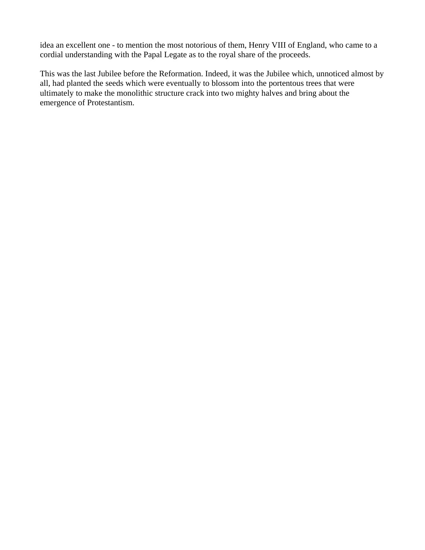idea an excellent one - to mention the most notorious of them, Henry VIII of England, who came to a cordial understanding with the Papal Legate as to the royal share of the proceeds.

This was the last Jubilee before the Reformation. Indeed, it was the Jubilee which, unnoticed almost by all, had planted the seeds which were eventually to blossom into the portentous trees that were ultimately to make the monolithic structure crack into two mighty halves and bring about the emergence of Protestantism.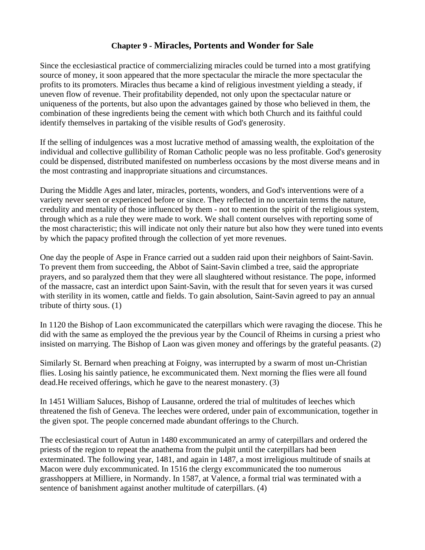# **Chapter 9 - Miracles, Portents and Wonder for Sale**

Since the ecclesiastical practice of commercializing miracles could be turned into a most gratifying source of money, it soon appeared that the more spectacular the miracle the more spectacular the profits to its promoters. Miracles thus became a kind of religious investment yielding a steady, if uneven flow of revenue. Their profitability depended, not only upon the spectacular nature or uniqueness of the portents, but also upon the advantages gained by those who believed in them, the combination of these ingredients being the cement with which both Church and its faithful could identify themselves in partaking of the visible results of God's generosity.

If the selling of indulgences was a most lucrative method of amassing wealth, the exploitation of the individual and collective gullibility of Roman Catholic people was no less profitable. God's generosity could be dispensed, distributed manifested on numberless occasions by the most diverse means and in the most contrasting and inappropriate situations and circumstances.

During the Middle Ages and later, miracles, portents, wonders, and God's interventions were of a variety never seen or experienced before or since. They reflected in no uncertain terms the nature, credulity and mentality of those influenced by them - not to mention the spirit of the religious system, through which as a rule they were made to work. We shall content ourselves with reporting some of the most characteristic; this will indicate not only their nature but also how they were tuned into events by which the papacy profited through the collection of yet more revenues.

One day the people of Aspe in France carried out a sudden raid upon their neighbors of Saint-Savin. To prevent them from succeeding, the Abbot of Saint-Savin climbed a tree, said the appropriate prayers, and so paralyzed them that they were all slaughtered without resistance. The pope, informed of the massacre, cast an interdict upon Saint-Savin, with the result that for seven years it was cursed with sterility in its women, cattle and fields. To gain absolution, Saint-Savin agreed to pay an annual tribute of thirty sous. (1)

In 1120 the Bishop of Laon excommunicated the caterpillars which were ravaging the diocese. This he did with the same as employed the the previous year by the Council of Rheims in cursing a priest who insisted on marrying. The Bishop of Laon was given money and offerings by the grateful peasants. (2)

Similarly St. Bernard when preaching at Foigny, was interrupted by a swarm of most un-Christian flies. Losing his saintly patience, he excommunicated them. Next morning the flies were all found dead.He received offerings, which he gave to the nearest monastery. (3)

In 1451 William Saluces, Bishop of Lausanne, ordered the trial of multitudes of leeches which threatened the fish of Geneva. The leeches were ordered, under pain of excommunication, together in the given spot. The people concerned made abundant offerings to the Church.

The ecclesiastical court of Autun in 1480 excommunicated an army of caterpillars and ordered the priests of the region to repeat the anathema from the pulpit until the caterpillars had been exterminated. The following year, 1481, and again in 1487, a most irreligious multitude of snails at Macon were duly excommunicated. In 1516 the clergy excommunicated the too numerous grasshoppers at Milliere, in Normandy. In 1587, at Valence, a formal trial was terminated with a sentence of banishment against another multitude of caterpillars. (4)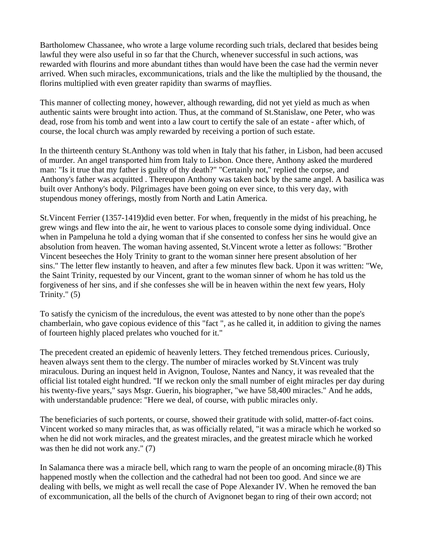Bartholomew Chassanee, who wrote a large volume recording such trials, declared that besides being lawful they were also useful in so far that the Church, whenever successful in such actions, was rewarded with flourins and more abundant tithes than would have been the case had the vermin never arrived. When such miracles, excommunications, trials and the like the multiplied by the thousand, the florins multiplied with even greater rapidity than swarms of mayflies.

This manner of collecting money, however, although rewarding, did not yet yield as much as when authentic saints were brought into action. Thus, at the command of St.Stanislaw, one Peter, who was dead, rose from his tomb and went into a law court to certify the sale of an estate - after which, of course, the local church was amply rewarded by receiving a portion of such estate.

In the thirteenth century St.Anthony was told when in Italy that his father, in Lisbon, had been accused of murder. An angel transported him from Italy to Lisbon. Once there, Anthony asked the murdered man: "Is it true that my father is guilty of thy death?" "Certainly not," replied the corpse, and Anthony's father was acquitted . Thereupon Anthony was taken back by the same angel. A basilica was built over Anthony's body. Pilgrimages have been going on ever since, to this very day, with stupendous money offerings, mostly from North and Latin America.

St.Vincent Ferrier (1357-1419)did even better. For when, frequently in the midst of his preaching, he grew wings and flew into the air, he went to various places to console some dying individual. Once when in Pampeluna he told a dying woman that if she consented to confess her sins he would give an absolution from heaven. The woman having assented, St.Vincent wrote a letter as follows: "Brother Vincent beseeches the Holy Trinity to grant to the woman sinner here present absolution of her sins." The letter flew instantly to heaven, and after a few minutes flew back. Upon it was written: "We, the Saint Trinity, requested by our Vincent, grant to the woman sinner of whom he has told us the forgiveness of her sins, and if she confesses she will be in heaven within the next few years, Holy Trinity." $(5)$ 

To satisfy the cynicism of the incredulous, the event was attested to by none other than the pope's chamberlain, who gave copious evidence of this "fact ", as he called it, in addition to giving the names of fourteen highly placed prelates who vouched for it."

The precedent created an epidemic of heavenly letters. They fetched tremendous prices. Curiously, heaven always sent them to the clergy. The number of miracles worked by St.Vincent was truly miraculous. During an inquest held in Avignon, Toulose, Nantes and Nancy, it was revealed that the official list totaled eight hundred. "If we reckon only the small number of eight miracles per day during his twenty-five years," says Msgr. Guerin, his biographer, "we have 58,400 miracles." And he adds, with understandable prudence: "Here we deal, of course, with public miracles only.

The beneficiaries of such portents, or course, showed their gratitude with solid, matter-of-fact coins. Vincent worked so many miracles that, as was officially related, "it was a miracle which he worked so when he did not work miracles, and the greatest miracles, and the greatest miracle which he worked was then he did not work any." (7)

In Salamanca there was a miracle bell, which rang to warn the people of an oncoming miracle.(8) This happened mostly when the collection and the cathedral had not been too good. And since we are dealing with bells, we might as well recall the case of Pope Alexander IV. When he removed the ban of excommunication, all the bells of the church of Avignonet began to ring of their own accord; not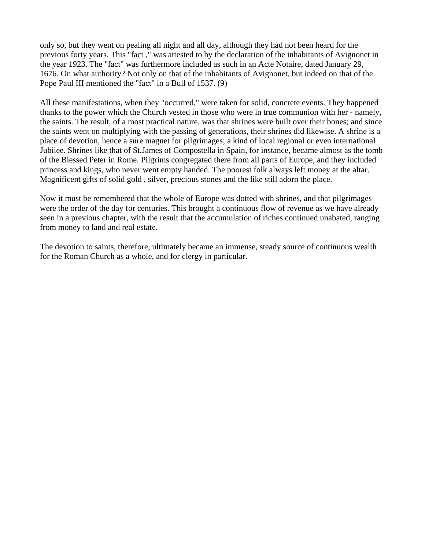only so, but they went on pealing all night and all day, although they had not been heard for the previous forty years. This "fact ," was attested to by the declaration of the inhabitants of Avignonet in the year 1923. The "fact" was furthermore included as such in an Acte Notaire, dated January 29, 1676. On what authority? Not only on that of the inhabitants of Avignonet, but indeed on that of the Pope Paul III mentioned the "fact" in a Bull of 1537. (9)

All these manifestations, when they "occurred," were taken for solid, concrete events. They happened thanks to the power which the Church vested in those who were in true communion with her - namely, the saints. The result, of a most practical nature, was that shrines were built over their bones; and since the saints went on multiplying with the passing of generations, their shrines did likewise. A shrine is a place of devotion, hence a sure magnet for pilgrimages; a kind of local regional or even international Jubilee. Shrines like that of St.James of Compostella in Spain, for instance, became almost as the tomb of the Blessed Peter in Rome. Pilgrims congregated there from all parts of Europe, and they included princess and kings, who never went empty handed. The poorest folk always left money at the altar. Magnificent gifts of solid gold , silver, precious stones and the like still adorn the place.

Now it must be remembered that the whole of Europe was dotted with shrines, and that pilgrimages were the order of the day for centuries. This brought a continuous flow of revenue as we have already seen in a previous chapter, with the result that the accumulation of riches continued unabated, ranging from money to land and real estate.

The devotion to saints, therefore, ultimately became an immense, steady source of continuous wealth for the Roman Church as a whole, and for clergy in particular.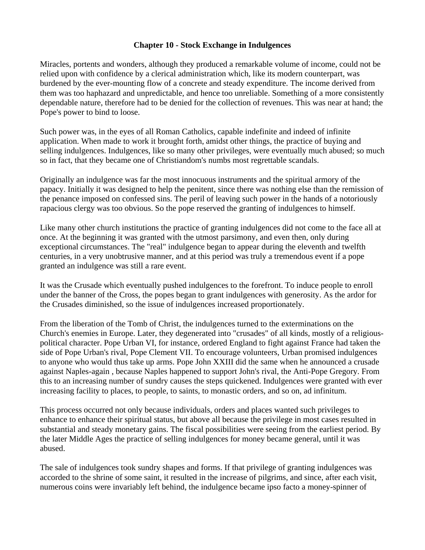### **Chapter 10 - Stock Exchange in Indulgences**

Miracles, portents and wonders, although they produced a remarkable volume of income, could not be relied upon with confidence by a clerical administration which, like its modern counterpart, was burdened by the ever-mounting flow of a concrete and steady expenditure. The income derived from them was too haphazard and unpredictable, and hence too unreliable. Something of a more consistently dependable nature, therefore had to be denied for the collection of revenues. This was near at hand; the Pope's power to bind to loose.

Such power was, in the eyes of all Roman Catholics, capable indefinite and indeed of infinite application. When made to work it brought forth, amidst other things, the practice of buying and selling indulgences. Indulgences, like so many other privileges, were eventually much abused; so much so in fact, that they became one of Christiandom's numbs most regrettable scandals.

Originally an indulgence was far the most innocuous instruments and the spiritual armory of the papacy. Initially it was designed to help the penitent, since there was nothing else than the remission of the penance imposed on confessed sins. The peril of leaving such power in the hands of a notoriously rapacious clergy was too obvious. So the pope reserved the granting of indulgences to himself.

Like many other church institutions the practice of granting indulgences did not come to the face all at once. At the beginning it was granted with the utmost parsimony, and even then, only during exceptional circumstances. The "real" indulgence began to appear during the eleventh and twelfth centuries, in a very unobtrusive manner, and at this period was truly a tremendous event if a pope granted an indulgence was still a rare event.

It was the Crusade which eventually pushed indulgences to the forefront. To induce people to enroll under the banner of the Cross, the popes began to grant indulgences with generosity. As the ardor for the Crusades diminished, so the issue of indulgences increased proportionately.

From the liberation of the Tomb of Christ, the indulgences turned to the exterminations on the Church's enemies in Europe. Later, they degenerated into "crusades" of all kinds, mostly of a religiouspolitical character. Pope Urban VI, for instance, ordered England to fight against France had taken the side of Pope Urban's rival, Pope Clement VII. To encourage volunteers, Urban promised indulgences to anyone who would thus take up arms. Pope John XXIII did the same when he announced a crusade against Naples-again , because Naples happened to support John's rival, the Anti-Pope Gregory. From this to an increasing number of sundry causes the steps quickened. Indulgences were granted with ever increasing facility to places, to people, to saints, to monastic orders, and so on, ad infinitum.

This process occurred not only because individuals, orders and places wanted such privileges to enhance to enhance their spiritual status, but above all because the privilege in most cases resulted in substantial and steady monetary gains. The fiscal possibilities were seeing from the earliest period. By the later Middle Ages the practice of selling indulgences for money became general, until it was abused.

The sale of indulgences took sundry shapes and forms. If that privilege of granting indulgences was accorded to the shrine of some saint, it resulted in the increase of pilgrims, and since, after each visit, numerous coins were invariably left behind, the indulgence became ipso facto a money-spinner of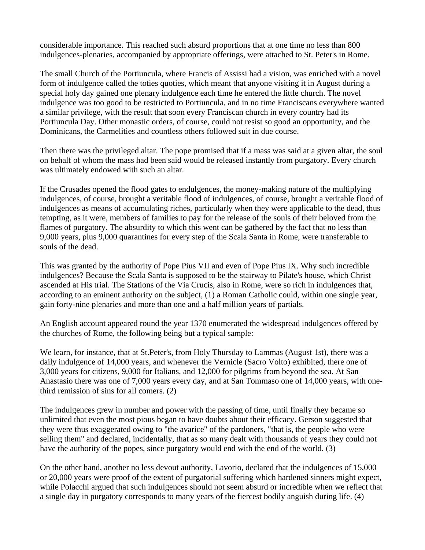considerable importance. This reached such absurd proportions that at one time no less than 800 indulgences-plenaries, accompanied by appropriate offerings, were attached to St. Peter's in Rome.

The small Church of the Portiuncula, where Francis of Assissi had a vision, was enriched with a novel form of indulgence called the toties quoties, which meant that anyone visiting it in August during a special holy day gained one plenary indulgence each time he entered the little church. The novel indulgence was too good to be restricted to Portiuncula, and in no time Franciscans everywhere wanted a similar privilege, with the result that soon every Franciscan church in every country had its Portiuncula Day. Other monastic orders, of course, could not resist so good an opportunity, and the Dominicans, the Carmelities and countless others followed suit in due course.

Then there was the privileged altar. The pope promised that if a mass was said at a given altar, the soul on behalf of whom the mass had been said would be released instantly from purgatory. Every church was ultimately endowed with such an altar.

If the Crusades opened the flood gates to endulgences, the money-making nature of the multiplying indulgences, of course, brought a veritable flood of indulgences, of course, brought a veritable flood of indulgences as means of accumulating riches, particularly when they were applicable to the dead, thus tempting, as it were, members of families to pay for the release of the souls of their beloved from the flames of purgatory. The absurdity to which this went can be gathered by the fact that no less than 9,000 years, plus 9,000 quarantines for every step of the Scala Santa in Rome, were transferable to souls of the dead.

This was granted by the authority of Pope Pius VII and even of Pope Pius IX. Why such incredible indulgences? Because the Scala Santa is supposed to be the stairway to Pilate's house, which Christ ascended at His trial. The Stations of the Via Crucis, also in Rome, were so rich in indulgences that, according to an eminent authority on the subject, (1) a Roman Catholic could, within one single year, gain forty-nine plenaries and more than one and a half million years of partials.

An English account appeared round the year 1370 enumerated the widespread indulgences offered by the churches of Rome, the following being but a typical sample:

We learn, for instance, that at St.Peter's, from Holy Thursday to Lammas (August 1st), there was a daily indulgence of 14,000 years, and whenever the Vernicle (Sacro Volto) exhibited, there one of 3,000 years for citizens, 9,000 for Italians, and 12,000 for pilgrims from beyond the sea. At San Anastasio there was one of 7,000 years every day, and at San Tommaso one of 14,000 years, with onethird remission of sins for all comers. (2)

The indulgences grew in number and power with the passing of time, until finally they became so unlimited that even the most pious began to have doubts about their efficacy. Gerson suggested that they were thus exaggerated owing to "the avarice" of the pardoners, "that is, the people who were selling them" and declared, incidentally, that as so many dealt with thousands of years they could not have the authority of the popes, since purgatory would end with the end of the world. (3)

On the other hand, another no less devout authority, Lavorio, declared that the indulgences of 15,000 or 20,000 years were proof of the extent of purgatorial suffering which hardened sinners might expect, while Polacchi argued that such indulgences should not seem absurd or incredible when we reflect that a single day in purgatory corresponds to many years of the fiercest bodily anguish during life. (4)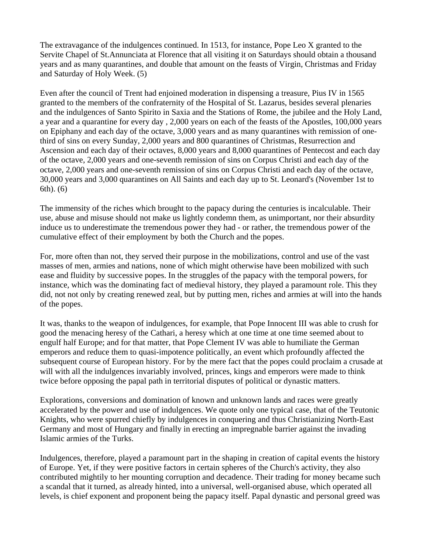The extravagance of the indulgences continued. In 1513, for instance, Pope Leo X granted to the Servite Chapel of St.Annunciata at Florence that all visiting it on Saturdays should obtain a thousand years and as many quarantines, and double that amount on the feasts of Virgin, Christmas and Friday and Saturday of Holy Week. (5)

Even after the council of Trent had enjoined moderation in dispensing a treasure, Pius IV in 1565 granted to the members of the confraternity of the Hospital of St. Lazarus, besides several plenaries and the indulgences of Santo Spirito in Saxia and the Stations of Rome, the jubilee and the Holy Land, a year and a quarantine for every day , 2,000 years on each of the feasts of the Apostles, 100,000 years on Epiphany and each day of the octave, 3,000 years and as many quarantines with remission of onethird of sins on every Sunday, 2,000 years and 800 quarantines of Christmas, Resurrection and Ascension and each day of their octaves, 8,000 years and 8,000 quarantines of Pentecost and each day of the octave, 2,000 years and one-seventh remission of sins on Corpus Christi and each day of the octave, 2,000 years and one-seventh remission of sins on Corpus Christi and each day of the octave, 30,000 years and 3,000 quarantines on All Saints and each day up to St. Leonard's (November 1st to 6th). (6)

The immensity of the riches which brought to the papacy during the centuries is incalculable. Their use, abuse and misuse should not make us lightly condemn them, as unimportant, nor their absurdity induce us to underestimate the tremendous power they had - or rather, the tremendous power of the cumulative effect of their employment by both the Church and the popes.

For, more often than not, they served their purpose in the mobilizations, control and use of the vast masses of men, armies and nations, none of which might otherwise have been mobilized with such ease and fluidity by successive popes. In the struggles of the papacy with the temporal powers, for instance, which was the dominating fact of medieval history, they played a paramount role. This they did, not not only by creating renewed zeal, but by putting men, riches and armies at will into the hands of the popes.

It was, thanks to the weapon of indulgences, for example, that Pope Innocent III was able to crush for good the menacing heresy of the Cathari, a heresy which at one time at one time seemed about to engulf half Europe; and for that matter, that Pope Clement IV was able to humiliate the German emperors and reduce them to quasi-impotence politically, an event which profoundly affected the subsequent course of European history. For by the mere fact that the popes could proclaim a crusade at will with all the indulgences invariably involved, princes, kings and emperors were made to think twice before opposing the papal path in territorial disputes of political or dynastic matters.

Explorations, conversions and domination of known and unknown lands and races were greatly accelerated by the power and use of indulgences. We quote only one typical case, that of the Teutonic Knights, who were spurred chiefly by indulgences in conquering and thus Christianizing North-East Germany and most of Hungary and finally in erecting an impregnable barrier against the invading Islamic armies of the Turks.

Indulgences, therefore, played a paramount part in the shaping in creation of capital events the history of Europe. Yet, if they were positive factors in certain spheres of the Church's activity, they also contributed mightily to her mounting corruption and decadence. Their trading for money became such a scandal that it turned, as already hinted, into a universal, well-organised abuse, which operated all levels, is chief exponent and proponent being the papacy itself. Papal dynastic and personal greed was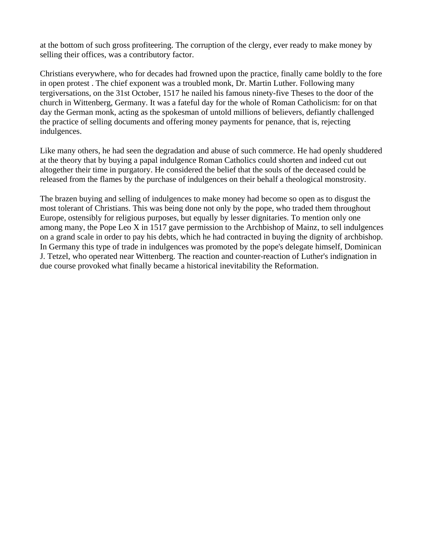at the bottom of such gross profiteering. The corruption of the clergy, ever ready to make money by selling their offices, was a contributory factor.

Christians everywhere, who for decades had frowned upon the practice, finally came boldly to the fore in open protest . The chief exponent was a troubled monk, Dr. Martin Luther. Following many tergiversations, on the 31st October, 1517 he nailed his famous ninety-five Theses to the door of the church in Wittenberg, Germany. It was a fateful day for the whole of Roman Catholicism: for on that day the German monk, acting as the spokesman of untold millions of believers, defiantly challenged the practice of selling documents and offering money payments for penance, that is, rejecting indulgences.

Like many others, he had seen the degradation and abuse of such commerce. He had openly shuddered at the theory that by buying a papal indulgence Roman Catholics could shorten and indeed cut out altogether their time in purgatory. He considered the belief that the souls of the deceased could be released from the flames by the purchase of indulgences on their behalf a theological monstrosity.

The brazen buying and selling of indulgences to make money had become so open as to disgust the most tolerant of Christians. This was being done not only by the pope, who traded them throughout Europe, ostensibly for religious purposes, but equally by lesser dignitaries. To mention only one among many, the Pope Leo X in 1517 gave permission to the Archbishop of Mainz, to sell indulgences on a grand scale in order to pay his debts, which he had contracted in buying the dignity of archbishop. In Germany this type of trade in indulgences was promoted by the pope's delegate himself, Dominican J. Tetzel, who operated near Wittenberg. The reaction and counter-reaction of Luther's indignation in due course provoked what finally became a historical inevitability the Reformation.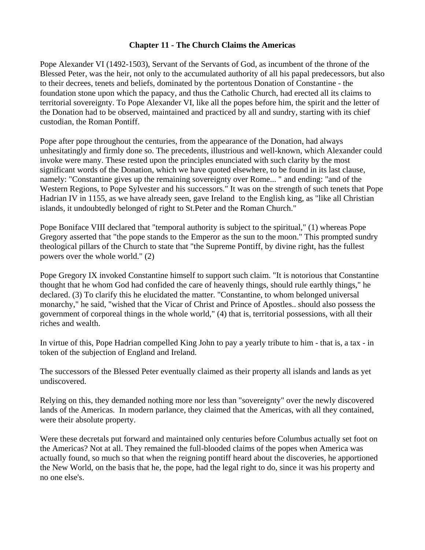### **Chapter 11 - The Church Claims the Americas**

Pope Alexander VI (1492-1503), Servant of the Servants of God, as incumbent of the throne of the Blessed Peter, was the heir, not only to the accumulated authority of all his papal predecessors, but also to their decrees, tenets and beliefs, dominated by the portentous Donation of Constantine - the foundation stone upon which the papacy, and thus the Catholic Church, had erected all its claims to territorial sovereignty. To Pope Alexander VI, like all the popes before him, the spirit and the letter of the Donation had to be observed, maintained and practiced by all and sundry, starting with its chief custodian, the Roman Pontiff.

Pope after pope throughout the centuries, from the appearance of the Donation, had always unhesitatingly and firmly done so. The precedents, illustrious and well-known, which Alexander could invoke were many. These rested upon the principles enunciated with such clarity by the most significant words of the Donation, which we have quoted elsewhere, to be found in its last clause, namely: "Constantine gives up the remaining sovereignty over Rome... " and ending: "and of the Western Regions, to Pope Sylvester and his successors." It was on the strength of such tenets that Pope Hadrian IV in 1155, as we have already seen, gave Ireland to the English king, as "like all Christian islands, it undoubtedly belonged of right to St.Peter and the Roman Church."

Pope Boniface VIII declared that "temporal authority is subject to the spiritual," (1) whereas Pope Gregory asserted that "the pope stands to the Emperor as the sun to the moon." This prompted sundry theological pillars of the Church to state that "the Supreme Pontiff, by divine right, has the fullest powers over the whole world." (2)

Pope Gregory IX invoked Constantine himself to support such claim. "It is notorious that Constantine thought that he whom God had confided the care of heavenly things, should rule earthly things," he declared. (3) To clarify this he elucidated the matter. "Constantine, to whom belonged universal monarchy," he said, "wished that the Vicar of Christ and Prince of Apostles.. should also possess the government of corporeal things in the whole world," (4) that is, territorial possessions, with all their riches and wealth.

In virtue of this, Pope Hadrian compelled King John to pay a yearly tribute to him - that is, a tax - in token of the subjection of England and Ireland.

The successors of the Blessed Peter eventually claimed as their property all islands and lands as yet undiscovered.

Relying on this, they demanded nothing more nor less than "sovereignty" over the newly discovered lands of the Americas. In modern parlance, they claimed that the Americas, with all they contained, were their absolute property.

Were these decretals put forward and maintained only centuries before Columbus actually set foot on the Americas? Not at all. They remained the full-blooded claims of the popes when America was actually found, so much so that when the reigning pontiff heard about the discoveries, he apportioned the New World, on the basis that he, the pope, had the legal right to do, since it was his property and no one else's.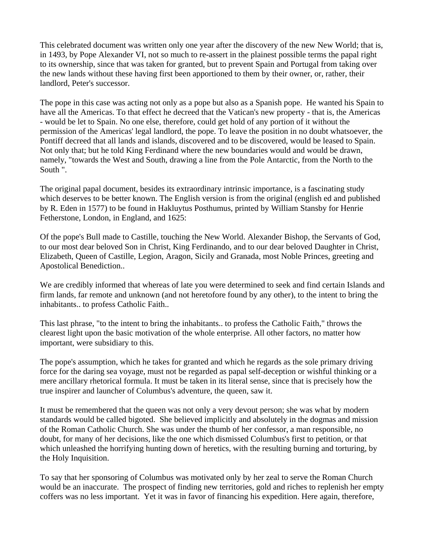This celebrated document was written only one year after the discovery of the new New World; that is, in 1493, by Pope Alexander VI, not so much to re-assert in the plainest possible terms the papal right to its ownership, since that was taken for granted, but to prevent Spain and Portugal from taking over the new lands without these having first been apportioned to them by their owner, or, rather, their landlord, Peter's successor.

The pope in this case was acting not only as a pope but also as a Spanish pope. He wanted his Spain to have all the Americas. To that effect he decreed that the Vatican's new property - that is, the Americas - would be let to Spain. No one else, therefore, could get hold of any portion of it without the permission of the Americas' legal landlord, the pope. To leave the position in no doubt whatsoever, the Pontiff decreed that all lands and islands, discovered and to be discovered, would be leased to Spain. Not only that; but he told King Ferdinand where the new boundaries would and would be drawn, namely, "towards the West and South, drawing a line from the Pole Antarctic, from the North to the South ".

The original papal document, besides its extraordinary intrinsic importance, is a fascinating study which deserves to be better known. The English version is from the original (english ed and published by R. Eden in 1577) to be found in Hakluytus Posthumus, printed by William Stansby for Henrie Fetherstone, London, in England, and 1625:

Of the pope's Bull made to Castille, touching the New World. Alexander Bishop, the Servants of God, to our most dear beloved Son in Christ, King Ferdinando, and to our dear beloved Daughter in Christ, Elizabeth, Queen of Castille, Legion, Aragon, Sicily and Granada, most Noble Princes, greeting and Apostolical Benediction..

We are credibly informed that whereas of late you were determined to seek and find certain Islands and firm lands, far remote and unknown (and not heretofore found by any other), to the intent to bring the inhabitants.. to profess Catholic Faith..

This last phrase, "to the intent to bring the inhabitants.. to profess the Catholic Faith," throws the clearest light upon the basic motivation of the whole enterprise. All other factors, no matter how important, were subsidiary to this.

The pope's assumption, which he takes for granted and which he regards as the sole primary driving force for the daring sea voyage, must not be regarded as papal self-deception or wishful thinking or a mere ancillary rhetorical formula. It must be taken in its literal sense, since that is precisely how the true inspirer and launcher of Columbus's adventure, the queen, saw it.

It must be remembered that the queen was not only a very devout person; she was what by modern standards would be called bigoted. She believed implicitly and absolutely in the dogmas and mission of the Roman Catholic Church. She was under the thumb of her confessor, a man responsible, no doubt, for many of her decisions, like the one which dismissed Columbus's first to petition, or that which unleashed the horrifying hunting down of heretics, with the resulting burning and torturing, by the Holy Inquisition.

To say that her sponsoring of Columbus was motivated only by her zeal to serve the Roman Church would be an inaccurate. The prospect of finding new territories, gold and riches to replenish her empty coffers was no less important. Yet it was in favor of financing his expedition. Here again, therefore,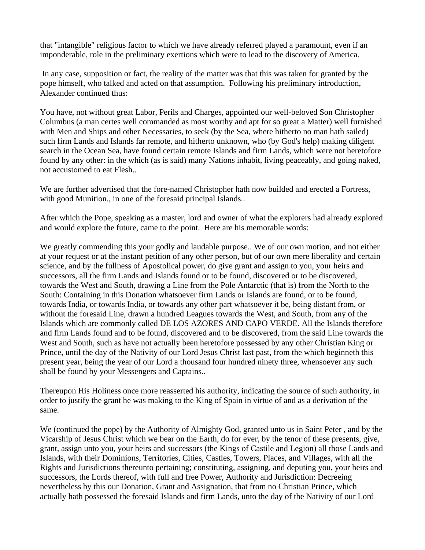that "intangible" religious factor to which we have already referred played a paramount, even if an imponderable, role in the preliminary exertions which were to lead to the discovery of America.

 In any case, supposition or fact, the reality of the matter was that this was taken for granted by the pope himself, who talked and acted on that assumption. Following his preliminary introduction, Alexander continued thus:

You have, not without great Labor, Perils and Charges, appointed our well-beloved Son Christopher Columbus (a man certes well commanded as most worthy and apt for so great a Matter) well furnished with Men and Ships and other Necessaries, to seek (by the Sea, where hitherto no man hath sailed) such firm Lands and Islands far remote, and hitherto unknown, who (by God's help) making diligent search in the Ocean Sea, have found certain remote Islands and firm Lands, which were not heretofore found by any other: in the which (as is said) many Nations inhabit, living peaceably, and going naked, not accustomed to eat Flesh..

We are further advertised that the fore-named Christopher hath now builded and erected a Fortress, with good Munition., in one of the foresaid principal Islands..

After which the Pope, speaking as a master, lord and owner of what the explorers had already explored and would explore the future, came to the point. Here are his memorable words:

We greatly commending this your godly and laudable purpose.. We of our own motion, and not either at your request or at the instant petition of any other person, but of our own mere liberality and certain science, and by the fullness of Apostolical power, do give grant and assign to you, your heirs and successors, all the firm Lands and Islands found or to be found, discovered or to be discovered, towards the West and South, drawing a Line from the Pole Antarctic (that is) from the North to the South: Containing in this Donation whatsoever firm Lands or Islands are found, or to be found, towards India, or towards India, or towards any other part whatsoever it be, being distant from, or without the foresaid Line, drawn a hundred Leagues towards the West, and South, from any of the Islands which are commonly called DE LOS AZORES AND CAPO VERDE. All the Islands therefore and firm Lands found and to be found, discovered and to be discovered, from the said Line towards the West and South, such as have not actually been heretofore possessed by any other Christian King or Prince, until the day of the Nativity of our Lord Jesus Christ last past, from the which beginneth this present year, being the year of our Lord a thousand four hundred ninety three, whensoever any such shall be found by your Messengers and Captains..

Thereupon His Holiness once more reasserted his authority, indicating the source of such authority, in order to justify the grant he was making to the King of Spain in virtue of and as a derivation of the same.

We (continued the pope) by the Authority of Almighty God, granted unto us in Saint Peter , and by the Vicarship of Jesus Christ which we bear on the Earth, do for ever, by the tenor of these presents, give, grant, assign unto you, your heirs and successors (the Kings of Castile and Legion) all those Lands and Islands, with their Dominions, Territories, Cities, Castles, Towers, Places, and Villages, with all the Rights and Jurisdictions thereunto pertaining; constituting, assigning, and deputing you, your heirs and successors, the Lords thereof, with full and free Power, Authority and Jurisdiction: Decreeing nevertheless by this our Donation, Grant and Assignation, that from no Christian Prince, which actually hath possessed the foresaid Islands and firm Lands, unto the day of the Nativity of our Lord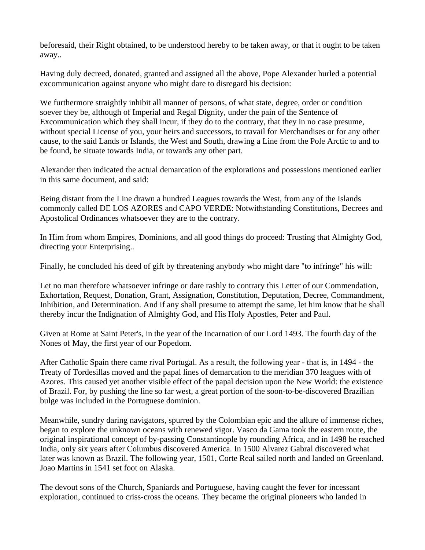beforesaid, their Right obtained, to be understood hereby to be taken away, or that it ought to be taken away..

Having duly decreed, donated, granted and assigned all the above, Pope Alexander hurled a potential excommunication against anyone who might dare to disregard his decision:

We furthermore straightly inhibit all manner of persons, of what state, degree, order or condition soever they be, although of Imperial and Regal Dignity, under the pain of the Sentence of Excommunication which they shall incur, if they do to the contrary, that they in no case presume, without special License of you, your heirs and successors, to travail for Merchandises or for any other cause, to the said Lands or Islands, the West and South, drawing a Line from the Pole Arctic to and to be found, be situate towards India, or towards any other part.

Alexander then indicated the actual demarcation of the explorations and possessions mentioned earlier in this same document, and said:

Being distant from the Line drawn a hundred Leagues towards the West, from any of the Islands commonly called DE LOS AZORES and CAPO VERDE: Notwithstanding Constitutions, Decrees and Apostolical Ordinances whatsoever they are to the contrary.

In Him from whom Empires, Dominions, and all good things do proceed: Trusting that Almighty God, directing your Enterprising..

Finally, he concluded his deed of gift by threatening anybody who might dare "to infringe" his will:

Let no man therefore whatsoever infringe or dare rashly to contrary this Letter of our Commendation, Exhortation, Request, Donation, Grant, Assignation, Constitution, Deputation, Decree, Commandment, Inhibition, and Determination. And if any shall presume to attempt the same, let him know that he shall thereby incur the Indignation of Almighty God, and His Holy Apostles, Peter and Paul.

Given at Rome at Saint Peter's, in the year of the Incarnation of our Lord 1493. The fourth day of the Nones of May, the first year of our Popedom.

After Catholic Spain there came rival Portugal. As a result, the following year - that is, in 1494 - the Treaty of Tordesillas moved and the papal lines of demarcation to the meridian 370 leagues with of Azores. This caused yet another visible effect of the papal decision upon the New World: the existence of Brazil. For, by pushing the line so far west, a great portion of the soon-to-be-discovered Brazilian bulge was included in the Portuguese dominion.

Meanwhile, sundry daring navigators, spurred by the Colombian epic and the allure of immense riches, began to explore the unknown oceans with renewed vigor. Vasco da Gama took the eastern route, the original inspirational concept of by-passing Constantinople by rounding Africa, and in 1498 he reached India, only six years after Columbus discovered America. In 1500 Alvarez Gabral discovered what later was known as Brazil. The following year, 1501, Corte Real sailed north and landed on Greenland. Joao Martins in 1541 set foot on Alaska.

The devout sons of the Church, Spaniards and Portuguese, having caught the fever for incessant exploration, continued to criss-cross the oceans. They became the original pioneers who landed in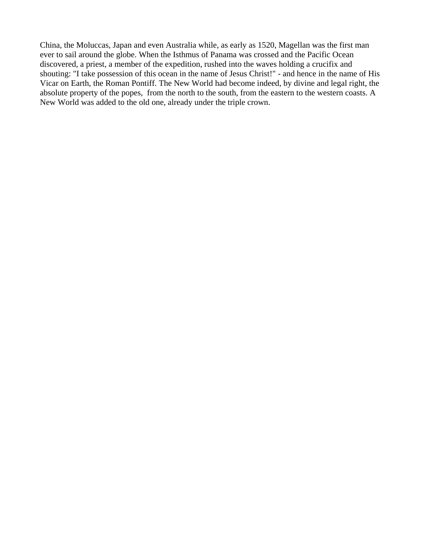China, the Moluccas, Japan and even Australia while, as early as 1520, Magellan was the first man ever to sail around the globe. When the Isthmus of Panama was crossed and the Pacific Ocean discovered, a priest, a member of the expedition, rushed into the waves holding a crucifix and shouting: "I take possession of this ocean in the name of Jesus Christ!" - and hence in the name of His Vicar on Earth, the Roman Pontiff. The New World had become indeed, by divine and legal right, the absolute property of the popes, from the north to the south, from the eastern to the western coasts. A New World was added to the old one, already under the triple crown.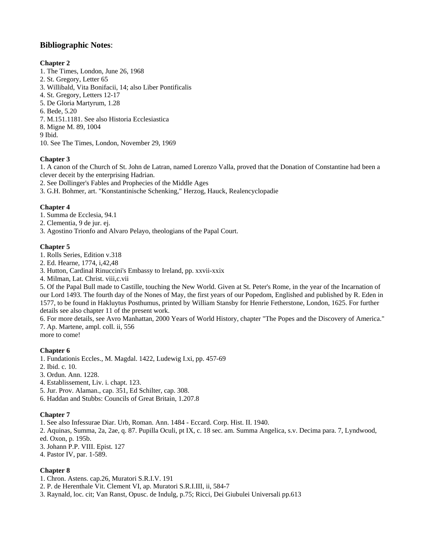### **Bibliographic Notes**:

Chapter 2<br>
1. The Times, London, June 26, 1968<br>
2. St. Gregory, Letter 65<br>
3. Willibald, Vita Bonifacii, 14; also Liber Pontificalis<br>
4. St. Gregory, Letters 12-17<br>
5. De Gloria Martyrum, 1.28<br>
6. Bede, 5.20<br>
7. M.151.1181

### **Chapter 3**

1. A canon of the Church of St. John de Latran, named Lorenzo Valla, proved that the Donation of Constantine had been a clever deceit by the enterprising Hadrian. 2. See Dollinger's Fables and Prophecies of the Middle Ages 3. G.H. Bohmer, art. "Konstantinische Schenking," Herzog, Hauck, Realencyclopadie

**Chapter 4** 1. Summa de Ecclesia, 94.1 2. Clementia, 9 de jur. ej. 3. Agostino Trionfo and Alvaro Pelayo, theologians of the Papal Court.

- 
- 
- 

Chapter 5<br>
1. Rolls Series, Edition v.318<br>
2. Ed. Hearne, 1774, i,42,48<br>
3. Hutton, Cardinal Rinuccini's Embassy to Ireland, pp. xxvii-xxix<br>
4. Milman, Lat. Christ. viii,c.vii<br>
5. Of the Papal Bull made to Castille, touchi our Lord 1493. The fourth day of the Nones of May, the first years of our Popedom, Englished and published by R. Eden in 1577, to be found in Hakluytus Posthumus, printed by William Stansby for Henrie Fetherstone, London, 1625. For further

details see also chapter 11 of the present work.<br>6. For more details, see Avro Manhattan, 2000 Years of World History, chapter "The Popes and the Discovery of America."<br>7. Ap. Martene, ampl. coll. ii, 556<br>more to come!

- Chapter 6<br>
1. Fundationis Eccles., M. Magdal. 1422, Ludewig I.xi, pp. 457-69<br>
2. Ibid. c. 10.<br>
3. Ordun. Ann. 1228.<br>
4. Establissement, Liv. i. chapt. 123.<br>
5. Jur. Prov. Alaman., cap. 351, Ed Schilter, cap. 308.<br>
6. Hadda
- 
- 
- 
- 
- 

**Chapter 7** 1. See also Infessurae Diar. Urb, Roman. Ann. 1484 - Eccard. Corp. Hist. II. 1940. 2. Aquinas, Summa, 2a, 2ae, q. 87. Pupilla Oculi, pt IX, c. 18 sec. am. Summa Angelica, s.v. Decima para. 7, Lyndwood,

- 
- ed. Oxon, p. 195b. 3. Johann P.P. VIII. Epist. 127 4. Pastor IV, par. 1-589.
- 

- 
- 
- Chapter 8<br>1. Chron. Astens. cap.26, Muratori S.R.I.V. 191<br>2. P. de Herenthale Vit. Clement VI, ap. Muratori S.R.I.III, ii, 584-7<br>3. Raynald, loc. cit; Van Ranst, Opusc. de Indulg, p.75; Ricci, Dei Giubulei Universali pp.61